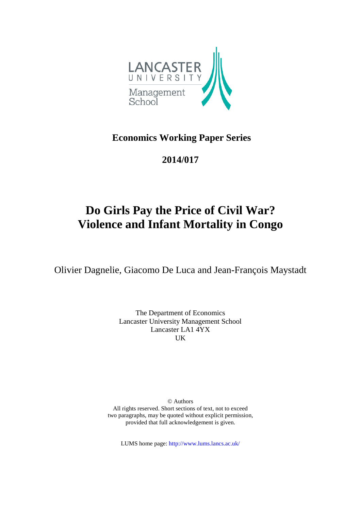

## **Economics Working Paper Series**

## **2014/017**

# **Do Girls Pay the Price of Civil War? Violence and Infant Mortality in Congo**

Olivier Dagnelie, Giacomo De Luca and Jean-François Maystadt

The Department of Economics Lancaster University Management School Lancaster LA1 4YX UK

© Authors All rights reserved. Short sections of text, not to exceed two paragraphs, may be quoted without explicit permission, provided that full acknowledgement is given.

LUMS home page: http://www.lums.lancs.ac.uk/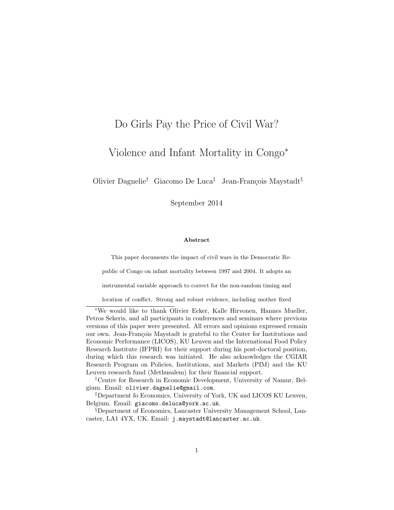## Do Girls Pay the Price of Civil War?

## Violence and Infant Mortality in Congo<sup>∗</sup>

Olivier Dagnelie<sup>†</sup> Giacomo De Luca<sup>‡</sup> Jean-François Maystadt<sup>§</sup>

September 2014

#### Abstract

This paper documents the impact of civil wars in the Democratic Re-

public of Congo on infant mortality between 1997 and 2004. It adopts an

instrumental variable approach to correct for the non-random timing and

location of conflict. Strong and robust evidence, including mother fixed

<sup>∗</sup>We would like to thank Olivier Ecker, Kalle Hirvonen, Hannes Mueller, Petros Sekeris, and all participants in conferences and seminars where previous versions of this paper were presented. All errors and opinions expressed remain our own. Jean-François Maystadt is grateful to the Center for Institutions and Economic Performance (LICOS), KU Leuven and the International Food Policy Research Institute (IFPRI) for their support during his post-doctoral position, during which this research was initiated. He also acknowledges the CGIAR Research Program on Policies, Institutions, and Markets (PIM) and the KU Leuven research fund (Methusalem) for their financial support.

†Centre for Research in Economic Development, University of Namur, Belgium. Email: olivier.dagnelie@gmail.com.

‡Department fo Economics, University of York, UK and LICOS KU Leuven, Belgium. Email: giacomo.deluca@york.ac.uk.

§Department of Economics, Lancaster University Management School, Lancaster, LA1 4YX, UK. Email: j.maystadt@lancaster.ac.uk.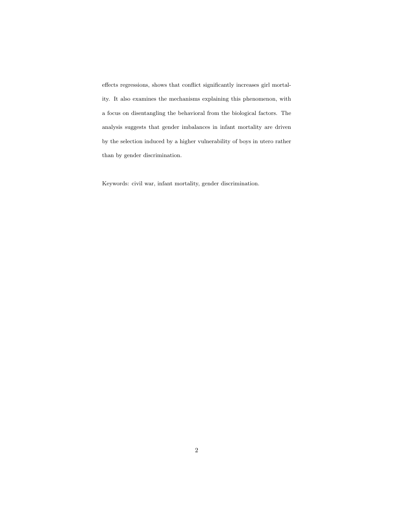effects regressions, shows that conflict significantly increases girl mortality. It also examines the mechanisms explaining this phenomenon, with a focus on disentangling the behavioral from the biological factors. The analysis suggests that gender imbalances in infant mortality are driven by the selection induced by a higher vulnerability of boys in utero rather than by gender discrimination.

Keywords: civil war, infant mortality, gender discrimination.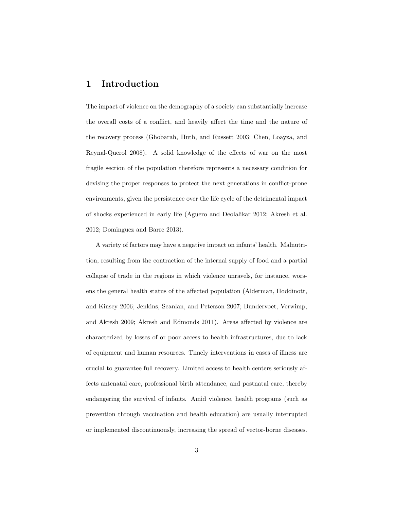## 1 Introduction

The impact of violence on the demography of a society can substantially increase the overall costs of a conflict, and heavily affect the time and the nature of the recovery process (Ghobarah, Huth, and Russett 2003; Chen, Loayza, and Reynal-Querol 2008). A solid knowledge of the effects of war on the most fragile section of the population therefore represents a necessary condition for devising the proper responses to protect the next generations in conflict-prone environments, given the persistence over the life cycle of the detrimental impact of shocks experienced in early life (Aguero and Deolalikar 2012; Akresh et al. 2012; Dominguez and Barre 2013).

A variety of factors may have a negative impact on infants' health. Malnutrition, resulting from the contraction of the internal supply of food and a partial collapse of trade in the regions in which violence unravels, for instance, worsens the general health status of the affected population (Alderman, Hoddinott, and Kinsey 2006; Jenkins, Scanlan, and Peterson 2007; Bundervoet, Verwimp, and Akresh 2009; Akresh and Edmonds 2011). Areas affected by violence are characterized by losses of or poor access to health infrastructures, due to lack of equipment and human resources. Timely interventions in cases of illness are crucial to guarantee full recovery. Limited access to health centers seriously affects antenatal care, professional birth attendance, and postnatal care, thereby endangering the survival of infants. Amid violence, health programs (such as prevention through vaccination and health education) are usually interrupted or implemented discontinuously, increasing the spread of vector-borne diseases.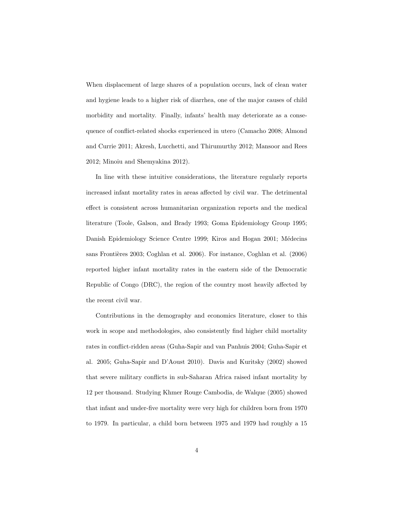When displacement of large shares of a population occurs, lack of clean water and hygiene leads to a higher risk of diarrhea, one of the major causes of child morbidity and mortality. Finally, infants' health may deteriorate as a consequence of conflict-related shocks experienced in utero (Camacho 2008; Almond and Currie 2011; Akresh, Lucchetti, and Thirumurthy 2012; Mansoor and Rees 2012; Minoiu and Shemyakina 2012).

In line with these intuitive considerations, the literature regularly reports increased infant mortality rates in areas affected by civil war. The detrimental effect is consistent across humanitarian organization reports and the medical literature (Toole, Galson, and Brady 1993; Goma Epidemiology Group 1995; Danish Epidemiology Science Centre 1999; Kiros and Hogan 2001; Médecins sans Frontières 2003; Coghlan et al. 2006). For instance, Coghlan et al. (2006) reported higher infant mortality rates in the eastern side of the Democratic Republic of Congo (DRC), the region of the country most heavily affected by the recent civil war.

Contributions in the demography and economics literature, closer to this work in scope and methodologies, also consistently find higher child mortality rates in conflict-ridden areas (Guha-Sapir and van Panhuis 2004; Guha-Sapir et al. 2005; Guha-Sapir and D'Aoust 2010). Davis and Kuritsky (2002) showed that severe military conflicts in sub-Saharan Africa raised infant mortality by 12 per thousand. Studying Khmer Rouge Cambodia, de Walque (2005) showed that infant and under-five mortality were very high for children born from 1970 to 1979. In particular, a child born between 1975 and 1979 had roughly a 15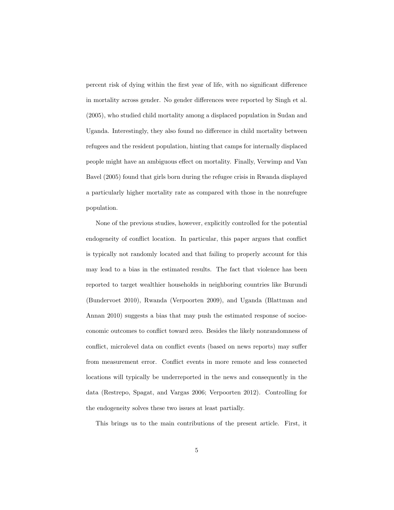percent risk of dying within the first year of life, with no significant difference in mortality across gender. No gender differences were reported by Singh et al. (2005), who studied child mortality among a displaced population in Sudan and Uganda. Interestingly, they also found no difference in child mortality between refugees and the resident population, hinting that camps for internally displaced people might have an ambiguous effect on mortality. Finally, Verwimp and Van Bavel (2005) found that girls born during the refugee crisis in Rwanda displayed a particularly higher mortality rate as compared with those in the nonrefugee population.

None of the previous studies, however, explicitly controlled for the potential endogeneity of conflict location. In particular, this paper argues that conflict is typically not randomly located and that failing to properly account for this may lead to a bias in the estimated results. The fact that violence has been reported to target wealthier households in neighboring countries like Burundi (Bundervoet 2010), Rwanda (Verpoorten 2009), and Uganda (Blattman and Annan 2010) suggests a bias that may push the estimated response of socioeconomic outcomes to conflict toward zero. Besides the likely nonrandomness of conflict, microlevel data on conflict events (based on news reports) may suffer from measurement error. Conflict events in more remote and less connected locations will typically be underreported in the news and consequently in the data (Restrepo, Spagat, and Vargas 2006; Verpoorten 2012). Controlling for the endogeneity solves these two issues at least partially.

This brings us to the main contributions of the present article. First, it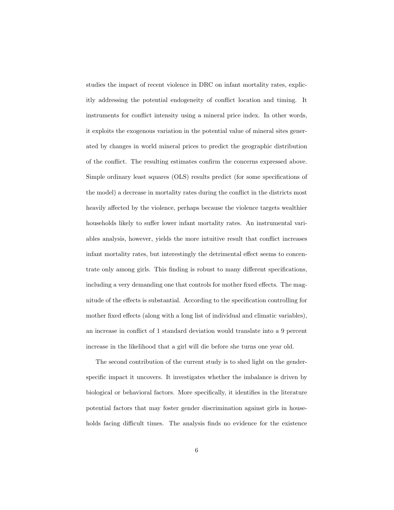studies the impact of recent violence in DRC on infant mortality rates, explicitly addressing the potential endogeneity of conflict location and timing. It instruments for conflict intensity using a mineral price index. In other words, it exploits the exogenous variation in the potential value of mineral sites generated by changes in world mineral prices to predict the geographic distribution of the conflict. The resulting estimates confirm the concerns expressed above. Simple ordinary least squares (OLS) results predict (for some specifications of the model) a decrease in mortality rates during the conflict in the districts most heavily affected by the violence, perhaps because the violence targets wealthier households likely to suffer lower infant mortality rates. An instrumental variables analysis, however, yields the more intuitive result that conflict increases infant mortality rates, but interestingly the detrimental effect seems to concentrate only among girls. This finding is robust to many different specifications, including a very demanding one that controls for mother fixed effects. The magnitude of the effects is substantial. According to the specification controlling for mother fixed effects (along with a long list of individual and climatic variables), an increase in conflict of 1 standard deviation would translate into a 9 percent increase in the likelihood that a girl will die before she turns one year old.

The second contribution of the current study is to shed light on the genderspecific impact it uncovers. It investigates whether the imbalance is driven by biological or behavioral factors. More specifically, it identifies in the literature potential factors that may foster gender discrimination against girls in households facing difficult times. The analysis finds no evidence for the existence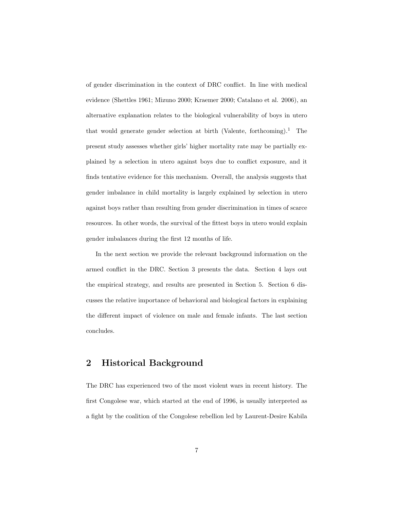of gender discrimination in the context of DRC conflict. In line with medical evidence (Shettles 1961; Mizuno 2000; Kraemer 2000; Catalano et al. 2006), an alternative explanation relates to the biological vulnerability of boys in utero that would generate gender selection at birth (Valente, forthcoming).<sup>1</sup> The present study assesses whether girls' higher mortality rate may be partially explained by a selection in utero against boys due to conflict exposure, and it finds tentative evidence for this mechanism. Overall, the analysis suggests that gender imbalance in child mortality is largely explained by selection in utero against boys rather than resulting from gender discrimination in times of scarce resources. In other words, the survival of the fittest boys in utero would explain gender imbalances during the first 12 months of life.

In the next section we provide the relevant background information on the armed conflict in the DRC. Section 3 presents the data. Section 4 lays out the empirical strategy, and results are presented in Section 5. Section 6 discusses the relative importance of behavioral and biological factors in explaining the different impact of violence on male and female infants. The last section concludes.

## 2 Historical Background

The DRC has experienced two of the most violent wars in recent history. The first Congolese war, which started at the end of 1996, is usually interpreted as a fight by the coalition of the Congolese rebellion led by Laurent-Desire Kabila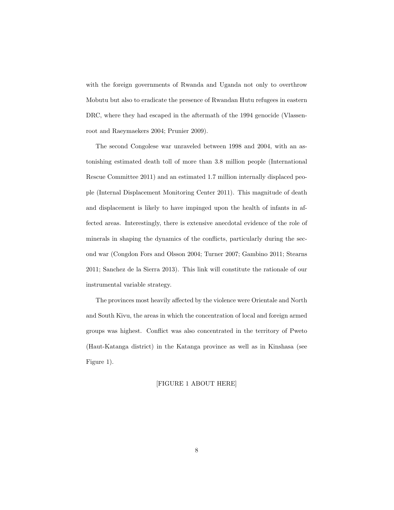with the foreign governments of Rwanda and Uganda not only to overthrow Mobutu but also to eradicate the presence of Rwandan Hutu refugees in eastern DRC, where they had escaped in the aftermath of the 1994 genocide (Vlassenroot and Raeymaekers 2004; Prunier 2009).

The second Congolese war unraveled between 1998 and 2004, with an astonishing estimated death toll of more than 3.8 million people (International Rescue Committee 2011) and an estimated 1.7 million internally displaced people (Internal Displacement Monitoring Center 2011). This magnitude of death and displacement is likely to have impinged upon the health of infants in affected areas. Interestingly, there is extensive anecdotal evidence of the role of minerals in shaping the dynamics of the conflicts, particularly during the second war (Congdon Fors and Olsson 2004; Turner 2007; Gambino 2011; Stearns 2011; Sanchez de la Sierra 2013). This link will constitute the rationale of our instrumental variable strategy.

The provinces most heavily affected by the violence were Orientale and North and South Kivu, the areas in which the concentration of local and foreign armed groups was highest. Conflict was also concentrated in the territory of Pweto (Haut-Katanga district) in the Katanga province as well as in Kinshasa (see Figure 1).

#### [FIGURE 1 ABOUT HERE]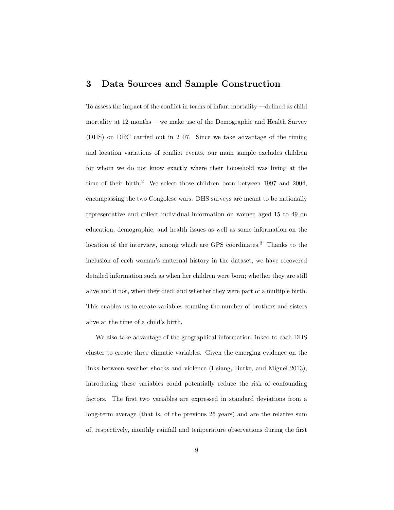## 3 Data Sources and Sample Construction

To assess the impact of the conflict in terms of infant mortality —defined as child mortality at 12 months —we make use of the Demographic and Health Survey (DHS) on DRC carried out in 2007. Since we take advantage of the timing and location variations of conflict events, our main sample excludes children for whom we do not know exactly where their household was living at the time of their birth.<sup>2</sup> We select those children born between 1997 and 2004, encompassing the two Congolese wars. DHS surveys are meant to be nationally representative and collect individual information on women aged 15 to 49 on education, demographic, and health issues as well as some information on the location of the interview, among which are GPS coordinates.<sup>3</sup> Thanks to the inclusion of each woman's maternal history in the dataset, we have recovered detailed information such as when her children were born; whether they are still alive and if not, when they died; and whether they were part of a multiple birth. This enables us to create variables counting the number of brothers and sisters alive at the time of a child's birth.

We also take advantage of the geographical information linked to each DHS cluster to create three climatic variables. Given the emerging evidence on the links between weather shocks and violence (Hsiang, Burke, and Miguel 2013), introducing these variables could potentially reduce the risk of confounding factors. The first two variables are expressed in standard deviations from a long-term average (that is, of the previous 25 years) and are the relative sum of, respectively, monthly rainfall and temperature observations during the first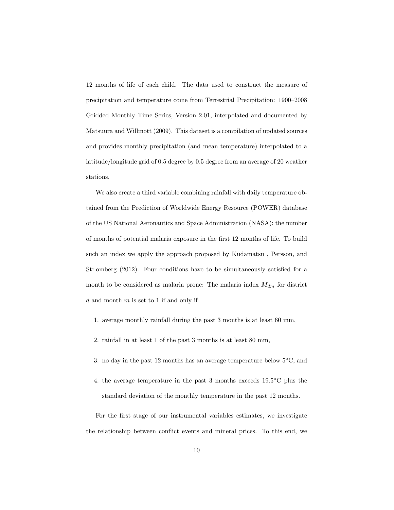12 months of life of each child. The data used to construct the measure of precipitation and temperature come from Terrestrial Precipitation: 1900–2008 Gridded Monthly Time Series, Version 2.01, interpolated and documented by Matsuura and Willmott (2009). This dataset is a compilation of updated sources and provides monthly precipitation (and mean temperature) interpolated to a latitude/longitude grid of 0.5 degree by 0.5 degree from an average of 20 weather stations.

We also create a third variable combining rainfall with daily temperature obtained from the Prediction of Worldwide Energy Resource (POWER) database of the US National Aeronautics and Space Administration (NASA): the number of months of potential malaria exposure in the first 12 months of life. To build such an index we apply the approach proposed by Kudamatsu , Persson, and Str omberg (2012). Four conditions have to be simultaneously satisfied for a month to be considered as malaria prone: The malaria index  $M_{dm}$  for district  $d$  and month  $m$  is set to 1 if and only if

- 1. average monthly rainfall during the past 3 months is at least 60 mm,
- 2. rainfall in at least 1 of the past 3 months is at least 80 mm,
- 3. no day in the past 12 months has an average temperature below  $5^{\circ}$ C, and
- 4. the average temperature in the past 3 months exceeds  $19.5^{\circ}$ C plus the standard deviation of the monthly temperature in the past 12 months.

For the first stage of our instrumental variables estimates, we investigate the relationship between conflict events and mineral prices. To this end, we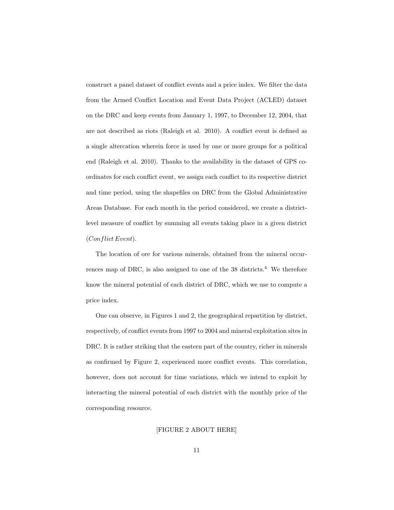construct a panel dataset of conflict events and a price index. We filter the data from the Armed Conflict Location and Event Data Project (ACLED) dataset on the DRC and keep events from January 1, 1997, to December 12, 2004, that are not described as riots (Raleigh et al. 2010). A conflict event is defined as a single altercation wherein force is used by one or more groups for a political end (Raleigh et al. 2010). Thanks to the availability in the dataset of GPS coordinates for each conflict event, we assign each conflict to its respective district and time period, using the shapefiles on DRC from the Global Administrative Areas Database. For each month in the period considered, we create a districtlevel measure of conflict by summing all events taking place in a given district (Conflict Event).

The location of ore for various minerals, obtained from the mineral occurrences map of DRC, is also assigned to one of the  $38$  districts.<sup>4</sup> We therefore know the mineral potential of each district of DRC, which we use to compute a price index.

One can observe, in Figures 1 and 2, the geographical repartition by district, respectively, of conflict events from 1997 to 2004 and mineral exploitation sites in DRC. It is rather striking that the eastern part of the country, richer in minerals as confirmed by Figure 2, experienced more conflict events. This correlation, however, does not account for time variations, which we intend to exploit by interacting the mineral potential of each district with the monthly price of the corresponding resource.

#### [FIGURE 2 ABOUT HERE]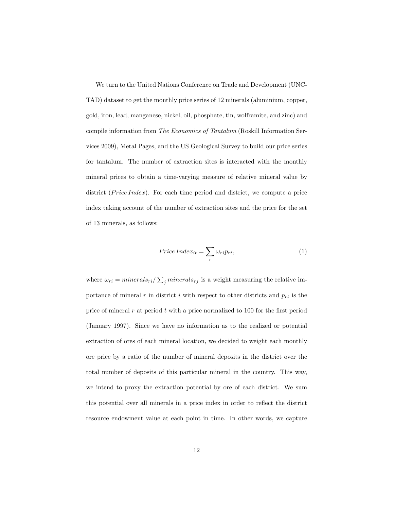We turn to the United Nations Conference on Trade and Development (UNC-TAD) dataset to get the monthly price series of 12 minerals (aluminium, copper, gold, iron, lead, manganese, nickel, oil, phosphate, tin, wolframite, and zinc) and compile information from The Economics of Tantalum (Roskill Information Services 2009), Metal Pages, and the US Geological Survey to build our price series for tantalum. The number of extraction sites is interacted with the monthly mineral prices to obtain a time-varying measure of relative mineral value by district ( $Price Index$ ). For each time period and district, we compute a price index taking account of the number of extraction sites and the price for the set of 13 minerals, as follows:

$$
Price Index_{it} = \sum_{r} \omega_{ri} p_{rt},
$$
\n(1)

where  $\omega_{ri} = mineral s_{ri} / \sum_j mineral s_{rj}$  is a weight measuring the relative importance of mineral r in district i with respect to other districts and  $p_{rt}$  is the price of mineral  $r$  at period  $t$  with a price normalized to 100 for the first period (January 1997). Since we have no information as to the realized or potential extraction of ores of each mineral location, we decided to weight each monthly ore price by a ratio of the number of mineral deposits in the district over the total number of deposits of this particular mineral in the country. This way, we intend to proxy the extraction potential by ore of each district. We sum this potential over all minerals in a price index in order to reflect the district resource endowment value at each point in time. In other words, we capture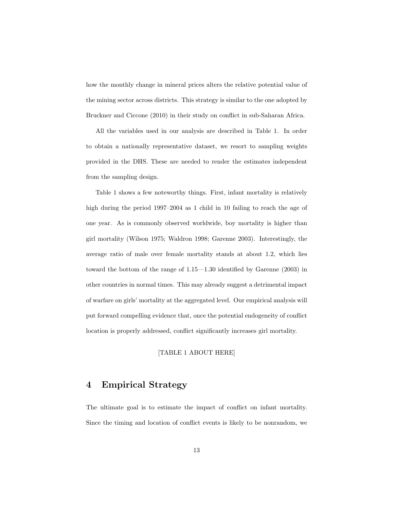how the monthly change in mineral prices alters the relative potential value of the mining sector across districts. This strategy is similar to the one adopted by Bruckner and Ciccone (2010) in their study on conflict in sub-Saharan Africa.

All the variables used in our analysis are described in Table 1. In order to obtain a nationally representative dataset, we resort to sampling weights provided in the DHS. These are needed to render the estimates independent from the sampling design.

Table 1 shows a few noteworthy things. First, infant mortality is relatively high during the period 1997–2004 as 1 child in 10 failing to reach the age of one year. As is commonly observed worldwide, boy mortality is higher than girl mortality (Wilson 1975; Waldron 1998; Garenne 2003). Interestingly, the average ratio of male over female mortality stands at about 1.2, which lies toward the bottom of the range of 1.15—1.30 identified by Garenne (2003) in other countries in normal times. This may already suggest a detrimental impact of warfare on girls' mortality at the aggregated level. Our empirical analysis will put forward compelling evidence that, once the potential endogeneity of conflict location is properly addressed, conflict significantly increases girl mortality.

#### [TABLE 1 ABOUT HERE]

## 4 Empirical Strategy

The ultimate goal is to estimate the impact of conflict on infant mortality. Since the timing and location of conflict events is likely to be nonrandom, we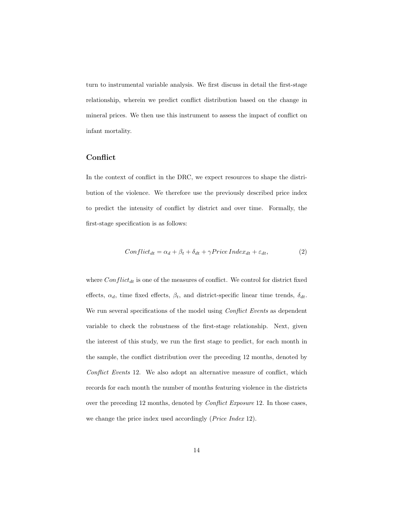turn to instrumental variable analysis. We first discuss in detail the first-stage relationship, wherein we predict conflict distribution based on the change in mineral prices. We then use this instrument to assess the impact of conflict on infant mortality.

### **Conflict**

In the context of conflict in the DRC, we expect resources to shape the distribution of the violence. We therefore use the previously described price index to predict the intensity of conflict by district and over time. Formally, the first-stage specification is as follows:

$$
Conflict_{dt} = \alpha_d + \beta_t + \delta_{dt} + \gamma PriceIndex_{dt} + \varepsilon_{dt}, \qquad (2)
$$

where  $Conflict_{dt}$  is one of the measures of conflict. We control for district fixed effects,  $\alpha_d$ , time fixed effects,  $\beta_t$ , and district-specific linear time trends,  $\delta_{dt}$ . We run several specifications of the model using *Conflict Events* as dependent variable to check the robustness of the first-stage relationship. Next, given the interest of this study, we run the first stage to predict, for each month in the sample, the conflict distribution over the preceding 12 months, denoted by Conflict Events 12. We also adopt an alternative measure of conflict, which records for each month the number of months featuring violence in the districts over the preceding 12 months, denoted by Conflict Exposure 12. In those cases, we change the price index used accordingly (*Price Index* 12).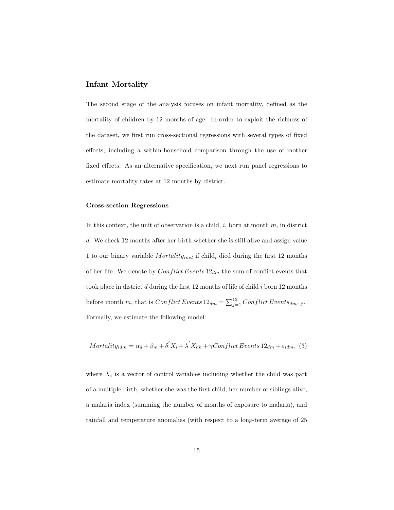#### Infant Mortality

The second stage of the analysis focuses on infant mortality, defined as the mortality of children by 12 months of age. In order to exploit the richness of the dataset, we first run cross-sectional regressions with several types of fixed effects, including a within-household comparison through the use of mother fixed effects. As an alternative specification, we next run panel regressions to estimate mortality rates at 12 months by district.

#### Cross-section Regressions

In this context, the unit of observation is a child,  $i$ , born at month  $m$ , in district d. We check 12 months after her birth whether she is still alive and assign value 1 to our binary variable *Mortality<sub>imd</sub>* if child<sub>i</sub> died during the first 12 months of her life. We denote by  $Conflict Events 12_{dm}$  the sum of conflict events that took place in district  $d$  during the first 12 months of life of child  $i$  born 12 months before month m, that is  $Conflict Events 12_{dm} = \sum_{j=1}^{12} ConflictEvents_{dm-j}$ . Formally, we estimate the following model:

$$
Mortality_{idm} = \alpha_d + \beta_m + \delta' X_i + \lambda' X_{hh} + \gamma Conflict Events 12_{dm} + \varepsilon_{idm},
$$
 (3)

where  $X_i$  is a vector of control variables including whether the child was part of a multiple birth, whether she was the first child, her number of siblings alive, a malaria index (summing the number of months of exposure to malaria), and rainfall and temperature anomalies (with respect to a long-term average of 25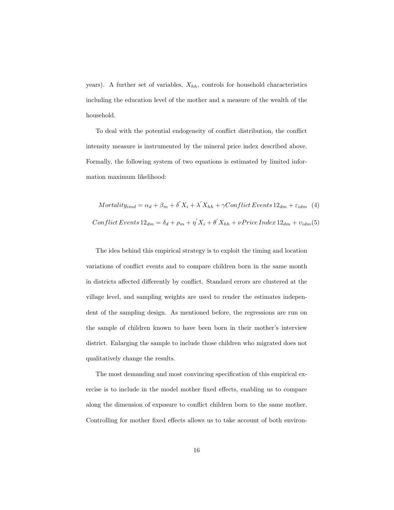years). A further set of variables,  $X_{hh}$ , controls for household characteristics including the education level of the mother and a measure of the wealth of the household.

To deal with the potential endogeneity of conflict distribution, the conflict intensity measure is instrumented by the mineral price index described above. Formally, the following system of two equations is estimated by limited information maximum likelihood:

$$
Mortality_{imd} = \alpha_d + \beta_m + \delta' X_i + \lambda' X_{hh} + \gamma Conflict Events 12_{dm} + \varepsilon_{idm} \quad (4)
$$
  
Conflict Events 12<sub>dm</sub> =  $\delta_d + \rho_m + \eta' X_i + \theta' X_{hh} + \nu Price Index 12_{dm} + \nu_{idm}(5)$ 

The idea behind this empirical strategy is to exploit the timing and location variations of conflict events and to compare children born in the same month in districts affected differently by conflict. Standard errors are clustered at the village level, and sampling weights are used to render the estimates independent of the sampling design. As mentioned before, the regressions are run on the sample of children known to have been born in their mother's interview district. Enlarging the sample to include those children who migrated does not qualitatively change the results.

The most demanding and most convincing specification of this empirical exercise is to include in the model mother fixed effects, enabling us to compare along the dimension of exposure to conflict children born to the same mother. Controlling for mother fixed effects allows us to take account of both environ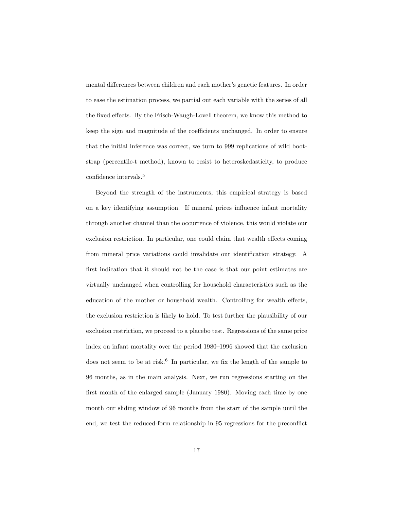mental differences between children and each mother's genetic features. In order to ease the estimation process, we partial out each variable with the series of all the fixed effects. By the Frisch-Waugh-Lovell theorem, we know this method to keep the sign and magnitude of the coefficients unchanged. In order to ensure that the initial inference was correct, we turn to 999 replications of wild bootstrap (percentile-t method), known to resist to heteroskedasticity, to produce confidence intervals.<sup>5</sup>

Beyond the strength of the instruments, this empirical strategy is based on a key identifying assumption. If mineral prices influence infant mortality through another channel than the occurrence of violence, this would violate our exclusion restriction. In particular, one could claim that wealth effects coming from mineral price variations could invalidate our identification strategy. A first indication that it should not be the case is that our point estimates are virtually unchanged when controlling for household characteristics such as the education of the mother or household wealth. Controlling for wealth effects, the exclusion restriction is likely to hold. To test further the plausibility of our exclusion restriction, we proceed to a placebo test. Regressions of the same price index on infant mortality over the period 1980–1996 showed that the exclusion does not seem to be at risk.<sup>6</sup> In particular, we fix the length of the sample to 96 months, as in the main analysis. Next, we run regressions starting on the first month of the enlarged sample (January 1980). Moving each time by one month our sliding window of 96 months from the start of the sample until the end, we test the reduced-form relationship in 95 regressions for the preconflict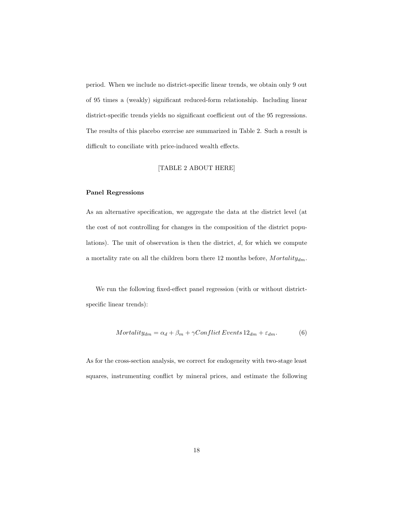period. When we include no district-specific linear trends, we obtain only 9 out of 95 times a (weakly) significant reduced-form relationship. Including linear district-specific trends yields no significant coefficient out of the 95 regressions. The results of this placebo exercise are summarized in Table 2. Such a result is difficult to conciliate with price-induced wealth effects.

#### [TABLE 2 ABOUT HERE]

#### Panel Regressions

As an alternative specification, we aggregate the data at the district level (at the cost of not controlling for changes in the composition of the district populations). The unit of observation is then the district,  $d$ , for which we compute a mortality rate on all the children born there 12 months before,  $Mortality_{dm}$ .

We run the following fixed-effect panel regression (with or without districtspecific linear trends):

$$
Mortality_{dm} = \alpha_d + \beta_m + \gamma Conflict Events 12_{dm} + \varepsilon_{dm}.
$$
 (6)

As for the cross-section analysis, we correct for endogeneity with two-stage least squares, instrumenting conflict by mineral prices, and estimate the following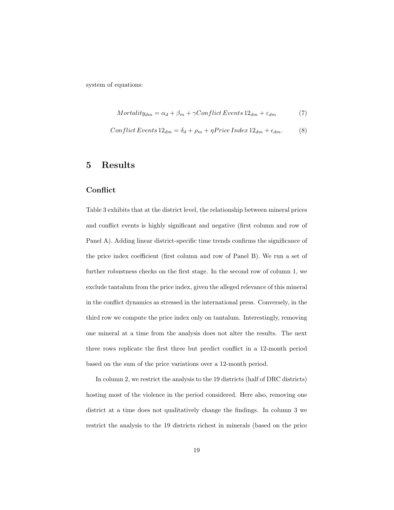system of equations:

$$
Mortality_{dm} = \alpha_d + \beta_m + \gamma Conflict Events 12_{dm} + \varepsilon_{dm}
$$
 (7)

$$
Conflict Events 12_{dm} = \delta_d + \rho_m + \eta Price Index 12_{dm} + \epsilon_{dm}.
$$
 (8)

### 5 Results

#### **Conflict**

Table 3 exhibits that at the district level, the relationship between mineral prices and conflict events is highly significant and negative (first column and row of Panel A). Adding linear district-specific time trends confirms the significance of the price index coefficient (first column and row of Panel B). We run a set of further robustness checks on the first stage. In the second row of column 1, we exclude tantalum from the price index, given the alleged relevance of this mineral in the conflict dynamics as stressed in the international press. Conversely, in the third row we compute the price index only on tantalum. Interestingly, removing one mineral at a time from the analysis does not alter the results. The next three rows replicate the first three but predict conflict in a 12-month period based on the sum of the price variations over a 12-month period.

In column 2, we restrict the analysis to the 19 districts (half of DRC districts) hosting most of the violence in the period considered. Here also, removing one district at a time does not qualitatively change the findings. In column 3 we restrict the analysis to the 19 districts richest in minerals (based on the price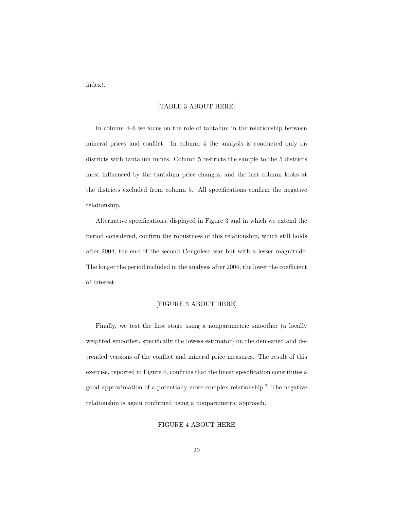index).

#### [TABLE 3 ABOUT HERE]

In column 4–6 we focus on the role of tantalum in the relationship between mineral prices and conflict. In column 4 the analysis is conducted only on districts with tantalum mines. Column 5 restricts the sample to the 5 districts most influenced by the tantalum price changes, and the last column looks at the districts excluded from column 5. All specifications confirm the negative relationship.

Alternative specifications, displayed in Figure 3 and in which we extend the period considered, confirm the robustness of this relationship, which still holds after 2004, the end of the second Congolese war but with a lesser magnitude. The longer the period included in the analysis after 2004, the lower the coefficient of interest.

#### [FIGURE 3 ABOUT HERE]

Finally, we test the first stage using a nonparametric smoother (a locally weighted smoother, specifically the lowess estimator) on the demeaned and detrended versions of the conflict and mineral price measures. The result of this exercise, reported in Figure 4, confirms that the linear specification constitutes a good approximation of a potentially more complex relationship.<sup>7</sup> The negative relationship is again confirmed using a nonparametric approach.

[FIGURE 4 ABOUT HERE]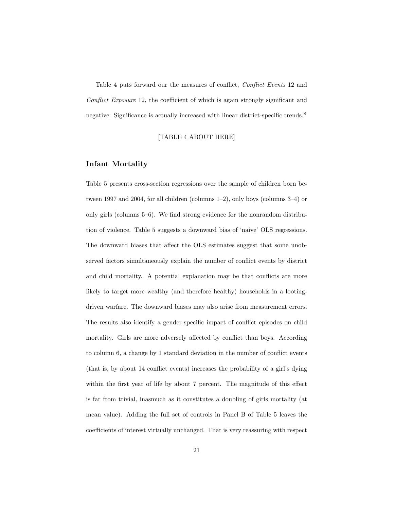Table 4 puts forward our the measures of conflict, Conflict Events 12 and Conflict Exposure 12, the coefficient of which is again strongly significant and negative. Significance is actually increased with linear district-specific trends.<sup>8</sup>

#### [TABLE 4 ABOUT HERE]

#### Infant Mortality

Table 5 presents cross-section regressions over the sample of children born between 1997 and 2004, for all children (columns 1–2), only boys (columns 3–4) or only girls (columns 5–6). We find strong evidence for the nonrandom distribution of violence. Table 5 suggests a downward bias of 'naive' OLS regressions. The downward biases that affect the OLS estimates suggest that some unobserved factors simultaneously explain the number of conflict events by district and child mortality. A potential explanation may be that conflicts are more likely to target more wealthy (and therefore healthy) households in a lootingdriven warfare. The downward biases may also arise from measurement errors. The results also identify a gender-specific impact of conflict episodes on child mortality. Girls are more adversely affected by conflict than boys. According to column 6, a change by 1 standard deviation in the number of conflict events (that is, by about 14 conflict events) increases the probability of a girl's dying within the first year of life by about 7 percent. The magnitude of this effect is far from trivial, inasmuch as it constitutes a doubling of girls mortality (at mean value). Adding the full set of controls in Panel B of Table 5 leaves the coefficients of interest virtually unchanged. That is very reassuring with respect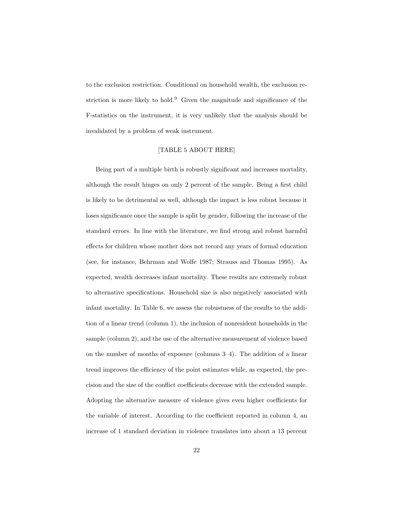to the exclusion restriction. Conditional on household wealth, the exclusion restriction is more likely to hold.<sup>9</sup> Given the magnitude and significance of the F-statistics on the instrument, it is very unlikely that the analysis should be invalidated by a problem of weak instrument.

#### [TABLE 5 ABOUT HERE]

Being part of a multiple birth is robustly significant and increases mortality, although the result hinges on only 2 percent of the sample. Being a first child is likely to be detrimental as well, although the impact is less robust because it loses significance once the sample is split by gender, following the increase of the standard errors. In line with the literature, we find strong and robust harmful effects for children whose mother does not record any years of formal education (see, for instance, Behrman and Wolfe 1987; Strauss and Thomas 1995). As expected, wealth decreases infant mortality. These results are extremely robust to alternative specifications. Household size is also negatively associated with infant mortality. In Table 6, we assess the robustness of the results to the addition of a linear trend (column 1), the inclusion of nonresident households in the sample (column 2), and the use of the alternative measurement of violence based on the number of months of exposure (columns 3–4). The addition of a linear trend improves the efficiency of the point estimates while, as expected, the precision and the size of the conflict coefficients decrease with the extended sample. Adopting the alternative measure of violence gives even higher coefficients for the variable of interest. According to the coefficient reported in column 4, an increase of 1 standard deviation in violence translates into about a 13 percent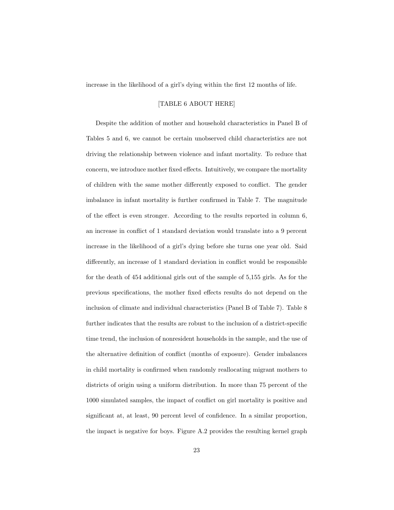increase in the likelihood of a girl's dying within the first 12 months of life.

#### [TABLE 6 ABOUT HERE]

Despite the addition of mother and household characteristics in Panel B of Tables 5 and 6, we cannot be certain unobserved child characteristics are not driving the relationship between violence and infant mortality. To reduce that concern, we introduce mother fixed effects. Intuitively, we compare the mortality of children with the same mother differently exposed to conflict. The gender imbalance in infant mortality is further confirmed in Table 7. The magnitude of the effect is even stronger. According to the results reported in column 6, an increase in conflict of 1 standard deviation would translate into a 9 percent increase in the likelihood of a girl's dying before she turns one year old. Said differently, an increase of 1 standard deviation in conflict would be responsible for the death of 454 additional girls out of the sample of 5,155 girls. As for the previous specifications, the mother fixed effects results do not depend on the inclusion of climate and individual characteristics (Panel B of Table 7). Table 8 further indicates that the results are robust to the inclusion of a district-specific time trend, the inclusion of nonresident households in the sample, and the use of the alternative definition of conflict (months of exposure). Gender imbalances in child mortality is confirmed when randomly reallocating migrant mothers to districts of origin using a uniform distribution. In more than 75 percent of the 1000 simulated samples, the impact of conflict on girl mortality is positive and significant at, at least, 90 percent level of confidence. In a similar proportion, the impact is negative for boys. Figure A.2 provides the resulting kernel graph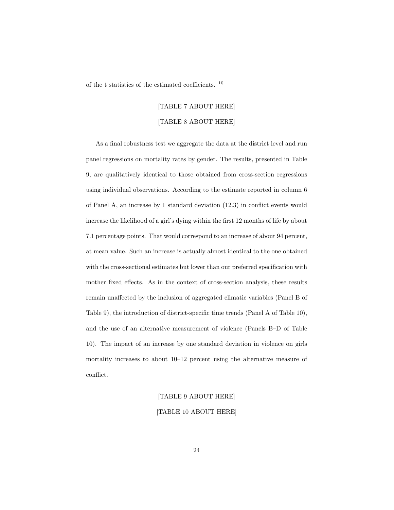of the t statistics of the estimated coefficients.  $^{\rm 10}$ 

#### [TABLE 7 ABOUT HERE]

#### [TABLE 8 ABOUT HERE]

As a final robustness test we aggregate the data at the district level and run panel regressions on mortality rates by gender. The results, presented in Table 9, are qualitatively identical to those obtained from cross-section regressions using individual observations. According to the estimate reported in column 6 of Panel A, an increase by 1 standard deviation (12.3) in conflict events would increase the likelihood of a girl's dying within the first 12 months of life by about 7.1 percentage points. That would correspond to an increase of about 94 percent, at mean value. Such an increase is actually almost identical to the one obtained with the cross-sectional estimates but lower than our preferred specification with mother fixed effects. As in the context of cross-section analysis, these results remain unaffected by the inclusion of aggregated climatic variables (Panel B of Table 9), the introduction of district-specific time trends (Panel A of Table 10), and the use of an alternative measurement of violence (Panels B–D of Table 10). The impact of an increase by one standard deviation in violence on girls mortality increases to about 10–12 percent using the alternative measure of conflict.

## [TABLE 9 ABOUT HERE]

#### [TABLE 10 ABOUT HERE]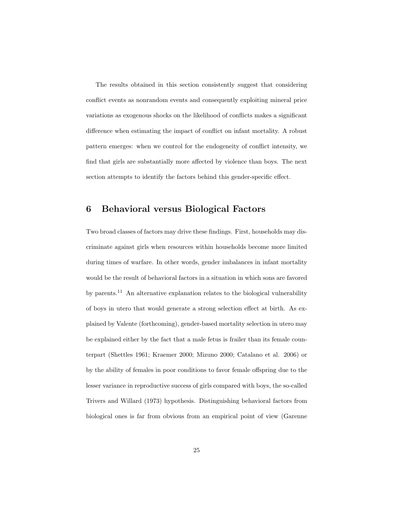The results obtained in this section consistently suggest that considering conflict events as nonrandom events and consequently exploiting mineral price variations as exogenous shocks on the likelihood of conflicts makes a significant difference when estimating the impact of conflict on infant mortality. A robust pattern emerges: when we control for the endogeneity of conflict intensity, we find that girls are substantially more affected by violence than boys. The next section attempts to identify the factors behind this gender-specific effect.

## 6 Behavioral versus Biological Factors

Two broad classes of factors may drive these findings. First, households may discriminate against girls when resources within households become more limited during times of warfare. In other words, gender imbalances in infant mortality would be the result of behavioral factors in a situation in which sons are favored by parents.<sup>11</sup> An alternative explanation relates to the biological vulnerability of boys in utero that would generate a strong selection effect at birth. As explained by Valente (forthcoming), gender-based mortality selection in utero may be explained either by the fact that a male fetus is frailer than its female counterpart (Shettles 1961; Kraemer 2000; Mizuno 2000; Catalano et al. 2006) or by the ability of females in poor conditions to favor female offspring due to the lesser variance in reproductive success of girls compared with boys, the so-called Trivers and Willard (1973) hypothesis. Distinguishing behavioral factors from biological ones is far from obvious from an empirical point of view (Garenne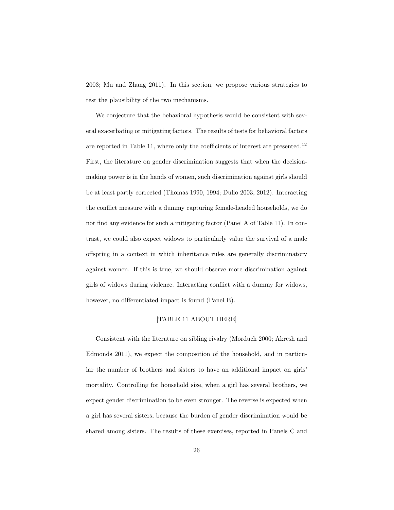2003; Mu and Zhang 2011). In this section, we propose various strategies to test the plausibility of the two mechanisms.

We conjecture that the behavioral hypothesis would be consistent with several exacerbating or mitigating factors. The results of tests for behavioral factors are reported in Table 11, where only the coefficients of interest are presented.<sup>12</sup> First, the literature on gender discrimination suggests that when the decisionmaking power is in the hands of women, such discrimination against girls should be at least partly corrected (Thomas 1990, 1994; Duflo 2003, 2012). Interacting the conflict measure with a dummy capturing female-headed households, we do not find any evidence for such a mitigating factor (Panel A of Table 11). In contrast, we could also expect widows to particularly value the survival of a male offspring in a context in which inheritance rules are generally discriminatory against women. If this is true, we should observe more discrimination against girls of widows during violence. Interacting conflict with a dummy for widows, however, no differentiated impact is found (Panel B).

#### [TABLE 11 ABOUT HERE]

Consistent with the literature on sibling rivalry (Morduch 2000; Akresh and Edmonds 2011), we expect the composition of the household, and in particular the number of brothers and sisters to have an additional impact on girls' mortality. Controlling for household size, when a girl has several brothers, we expect gender discrimination to be even stronger. The reverse is expected when a girl has several sisters, because the burden of gender discrimination would be shared among sisters. The results of these exercises, reported in Panels C and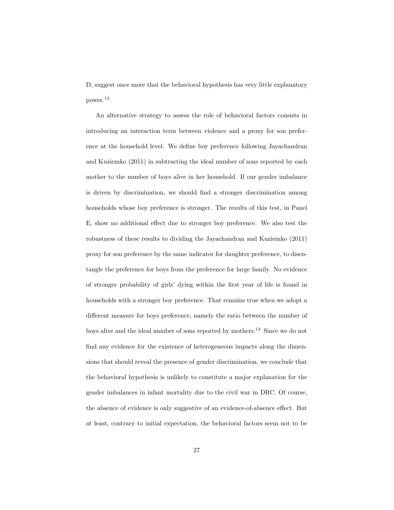D, suggest once more that the behavioral hypothesis has very little explanatory power.<sup>13</sup>

An alternative strategy to assess the role of behavioral factors consists in introducing an interaction term between violence and a proxy for son preference at the household level. We define boy preference following Jayachandran and Kuziemko (2011) in subtracting the ideal number of sons reported by each mother to the number of boys alive in her household. If our gender imbalance is driven by discrimination, we should find a stronger discrimination among households whose boy preference is stronger. The results of this test, in Panel E, show no additional effect due to stronger boy preference. We also test the robustness of these results to dividing the Jayachandran and Kuziemko (2011) proxy for son preference by the same indicator for daughter preference, to disentangle the preference for boys from the preference for large family. No evidence of stronger probability of girls' dying within the first year of life is found in households with a stronger boy preference. That remains true when we adopt a different measure for boys preference, namely the ratio between the number of boys alive and the ideal number of sons reported by mothers.<sup>14</sup> Since we do not find any evidence for the existence of heterogeneous impacts along the dimensions that should reveal the presence of gender discrimination, we conclude that the behavioral hypothesis is unlikely to constitute a major explanation for the gender imbalances in infant mortality due to the civil war in DRC. Of course, the absence of evidence is only suggestive of an evidence-of-absence effect. But at least, contrary to initial expectation, the behavioral factors seem not to be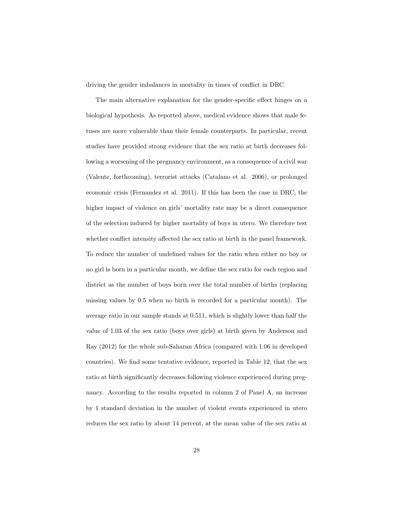driving the gender imbalances in mortality in times of conflict in DRC.

The main alternative explanation for the gender-specific effect hinges on a biological hypothesis. As reported above, medical evidence shows that male fetuses are more vulnerable than their female counterparts. In particular, recent studies have provided strong evidence that the sex ratio at birth decreases following a worsening of the pregnancy environment, as a consequence of a civil war (Valente, forthcoming), terrorist attacks (Catalano et al. 2006), or prolonged economic crisis (Fernandez et al. 2011). If this has been the case in DRC, the higher impact of violence on girls' mortality rate may be a direct consequence of the selection induced by higher mortality of boys in utero. We therefore test whether conflict intensity affected the sex ratio at birth in the panel framework. To reduce the number of undefined values for the ratio when either no boy or no girl is born in a particular month, we define the sex ratio for each region and district as the number of boys born over the total number of births (replacing missing values by 0.5 when no birth is recorded for a particular month). The average ratio in our sample stands at 0.511, which is slightly lower than half the value of 1.03 of the sex ratio (boys over girls) at birth given by Anderson and Ray (2012) for the whole sub-Saharan Africa (compared with 1.06 in developed countries). We find some tentative evidence, reported in Table 12, that the sex ratio at birth significantly decreases following violence experienced during pregnancy. According to the results reported in column 2 of Panel A, an increase by 1 standard deviation in the number of violent events experienced in utero reduces the sex ratio by about 14 percent, at the mean value of the sex ratio at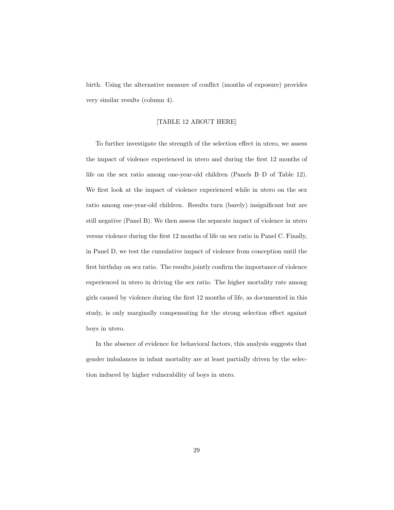birth. Using the alternative measure of conflict (months of exposure) provides very similar results (column 4).

#### [TABLE 12 ABOUT HERE]

To further investigate the strength of the selection effect in utero, we assess the impact of violence experienced in utero and during the first 12 months of life on the sex ratio among one-year-old children (Panels B–D of Table 12). We first look at the impact of violence experienced while in utero on the sex ratio among one-year-old children. Results turn (barely) insignificant but are still negative (Panel B). We then assess the separate impact of violence in utero versus violence during the first 12 months of life on sex ratio in Panel C. Finally, in Panel D, we test the cumulative impact of violence from conception until the first birthday on sex ratio. The results jointly confirm the importance of violence experienced in utero in driving the sex ratio. The higher mortality rate among girls caused by violence during the first 12 months of life, as documented in this study, is only marginally compensating for the strong selection effect against boys in utero.

In the absence of evidence for behavioral factors, this analysis suggests that gender imbalances in infant mortality are at least partially driven by the selection induced by higher vulnerability of boys in utero.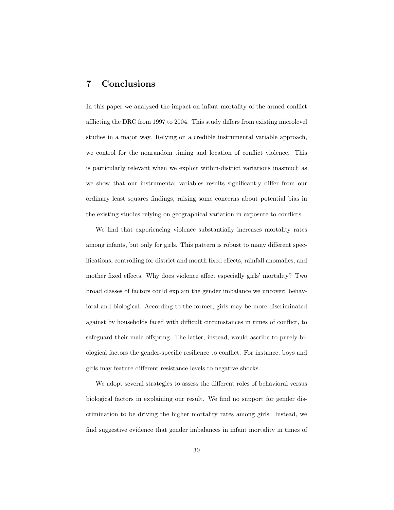## 7 Conclusions

In this paper we analyzed the impact on infant mortality of the armed conflict afflicting the DRC from 1997 to 2004. This study differs from existing microlevel studies in a major way. Relying on a credible instrumental variable approach, we control for the nonrandom timing and location of conflict violence. This is particularly relevant when we exploit within-district variations inasmuch as we show that our instrumental variables results significantly differ from our ordinary least squares findings, raising some concerns about potential bias in the existing studies relying on geographical variation in exposure to conflicts.

We find that experiencing violence substantially increases mortality rates among infants, but only for girls. This pattern is robust to many different specifications, controlling for district and month fixed effects, rainfall anomalies, and mother fixed effects. Why does violence affect especially girls' mortality? Two broad classes of factors could explain the gender imbalance we uncover: behavioral and biological. According to the former, girls may be more discriminated against by households faced with difficult circumstances in times of conflict, to safeguard their male offspring. The latter, instead, would ascribe to purely biological factors the gender-specific resilience to conflict. For instance, boys and girls may feature different resistance levels to negative shocks.

We adopt several strategies to assess the different roles of behavioral versus biological factors in explaining our result. We find no support for gender discrimination to be driving the higher mortality rates among girls. Instead, we find suggestive evidence that gender imbalances in infant mortality in times of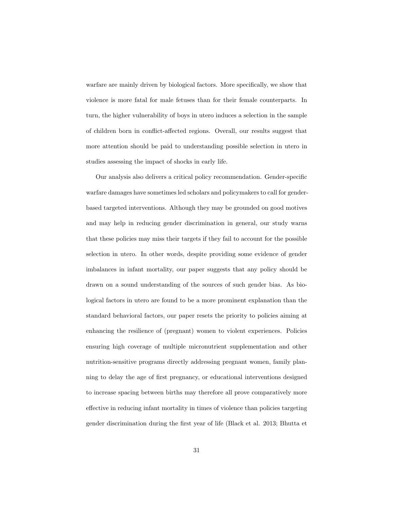warfare are mainly driven by biological factors. More specifically, we show that violence is more fatal for male fetuses than for their female counterparts. In turn, the higher vulnerability of boys in utero induces a selection in the sample of children born in conflict-affected regions. Overall, our results suggest that more attention should be paid to understanding possible selection in utero in studies assessing the impact of shocks in early life.

Our analysis also delivers a critical policy recommendation. Gender-specific warfare damages have sometimes led scholars and policymakers to call for genderbased targeted interventions. Although they may be grounded on good motives and may help in reducing gender discrimination in general, our study warns that these policies may miss their targets if they fail to account for the possible selection in utero. In other words, despite providing some evidence of gender imbalances in infant mortality, our paper suggests that any policy should be drawn on a sound understanding of the sources of such gender bias. As biological factors in utero are found to be a more prominent explanation than the standard behavioral factors, our paper resets the priority to policies aiming at enhancing the resilience of (pregnant) women to violent experiences. Policies ensuring high coverage of multiple micronutrient supplementation and other nutrition-sensitive programs directly addressing pregnant women, family planning to delay the age of first pregnancy, or educational interventions designed to increase spacing between births may therefore all prove comparatively more effective in reducing infant mortality in times of violence than policies targeting gender discrimination during the first year of life (Black et al. 2013; Bhutta et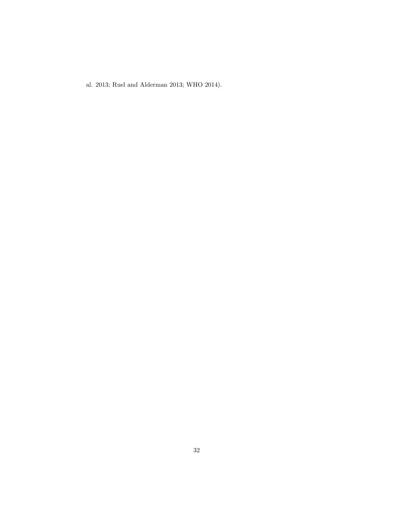al. 2013; Ruel and Alderman 2013; WHO 2014).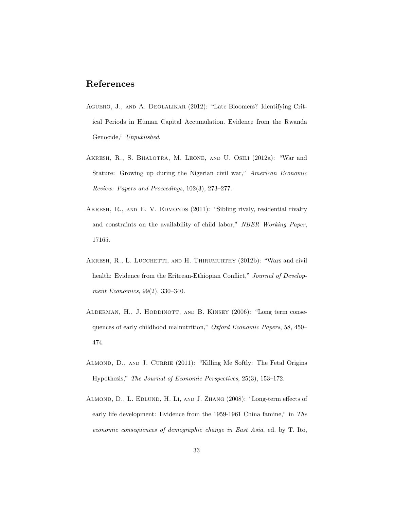## References

- Aguero, J., and A. Deolalikar (2012): "Late Bloomers? Identifying Critical Periods in Human Capital Accumulation. Evidence from the Rwanda Genocide," Unpublished.
- Akresh, R., S. Bhalotra, M. Leone, and U. Osili (2012a): "War and Stature: Growing up during the Nigerian civil war," American Economic Review: Papers and Proceedings, 102(3), 273–277.
- AKRESH, R., AND E. V. EDMONDS (2011): "Sibling rivaly, residential rivalry and constraints on the availability of child labor," NBER Working Paper, 17165.
- AKRESH, R., L. LUCCHETTI, AND H. THIRUMURTHY (2012b): "Wars and civil health: Evidence from the Eritrean-Ethiopian Conflict," Journal of Development Economics, 99(2), 330–340.
- ALDERMAN, H., J. HODDINOTT, AND B. KINSEY (2006): "Long term consequences of early childhood malnutrition," Oxford Economic Papers, 58, 450– 474.
- ALMOND, D., AND J. CURRIE (2011): "Killing Me Softly: The Fetal Origins Hypothesis," The Journal of Economic Perspectives, 25(3), 153–172.
- Almond, D., L. Edlund, H. Li, and J. Zhang (2008): "Long-term effects of early life development: Evidence from the 1959-1961 China famine," in The economic consequences of demographic change in East Asia, ed. by T. Ito,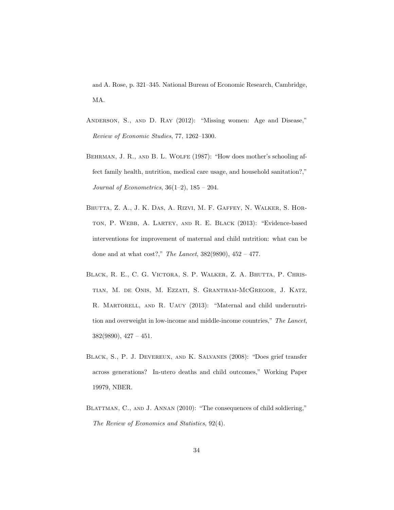and A. Rose, p. 321–345. National Bureau of Economic Research, Cambridge, MA.

- Anderson, S., and D. Ray (2012): "Missing women: Age and Disease," Review of Economic Studies, 77, 1262–1300.
- BEHRMAN, J. R., AND B. L. WOLFE (1987): "How does mother's schooling affect family health, nutrition, medical care usage, and household sanitation?," Journal of Econometrics,  $36(1-2)$ ,  $185 - 204$ .
- Bhutta, Z. A., J. K. Das, A. Rizvi, M. F. Gaffey, N. Walker, S. Horton, P. Webb, A. Lartey, and R. E. Black (2013): "Evidence-based interventions for improvement of maternal and child nutrition: what can be done and at what  $cost$ ?," The Lancet,  $382(9890)$ ,  $452 - 477$ .
- Black, R. E., C. G. Victora, S. P. Walker, Z. A. Bhutta, P. Christian, M. de Onis, M. Ezzati, S. Grantham-McGregor, J. Katz, R. MARTORELL, AND R. UAUY (2013): "Maternal and child undernutrition and overweight in low-income and middle-income countries," The Lancet, 382(9890), 427 – 451.
- Black, S., P. J. Devereux, and K. Salvanes (2008): "Does grief transfer across generations? In-utero deaths and child outcomes," Working Paper 19979, NBER.
- BLATTMAN, C., AND J. ANNAN (2010): "The consequences of child soldiering," The Review of Economics and Statistics, 92(4).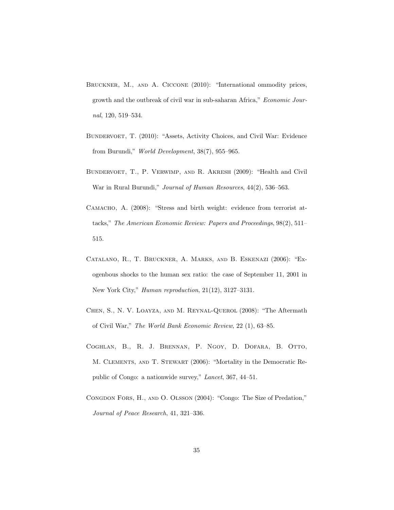- BRUCKNER, M., AND A. CICCONE (2010): "International ommodity prices, growth and the outbreak of civil war in sub-saharan Africa," Economic Journal, 120, 519–534.
- BUNDERVOET, T. (2010): "Assets, Activity Choices, and Civil War: Evidence from Burundi," World Development, 38(7), 955–965.
- Bundervoet, T., P. Verwimp, and R. Akresh (2009): "Health and Civil War in Rural Burundi," Journal of Human Resources, 44(2), 536–563.
- CAMACHO, A. (2008): "Stress and birth weight: evidence from terrorist attacks," The American Economic Review: Papers and Proceedings, 98(2), 511– 515.
- Catalano, R., T. Bruckner, A. Marks, and B. Eskenazi (2006): "Exogenbous shocks to the human sex ratio: the case of September 11, 2001 in New York City," Human reproduction, 21(12), 3127–3131.
- Chen, S., N. V. Loayza, and M. Reynal-Querol (2008): "The Aftermath of Civil War," The World Bank Economic Review, 22 (1), 63–85.
- Coghlan, B., R. J. Brennan, P. Ngoy, D. Dofara, B. Otto, M. Clements, and T. Stewart (2006): "Mortality in the Democratic Republic of Congo: a nationwide survey," Lancet, 367, 44–51.
- Congdon Fors, H., and O. Olsson (2004): "Congo: The Size of Predation," Journal of Peace Research, 41, 321–336.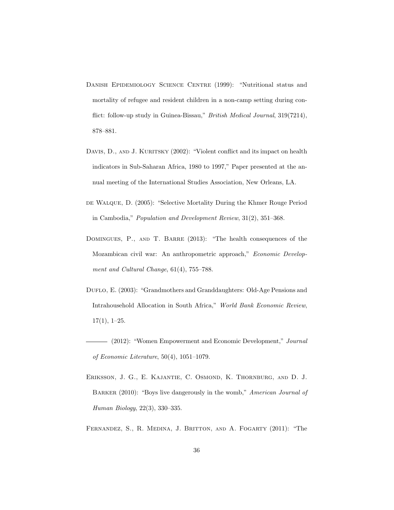- DANISH EPIDEMIOLOGY SCIENCE CENTRE (1999): "Nutritional status and mortality of refugee and resident children in a non-camp setting during conflict: follow-up study in Guinea-Bissau," British Medical Journal, 319(7214), 878–881.
- DAVIS, D., AND J. KURITSKY (2002): "Violent conflict and its impact on health indicators in Sub-Saharan Africa, 1980 to 1997," Paper presented at the annual meeting of the International Studies Association, New Orleans, LA.
- DE WALQUE, D. (2005): "Selective Mortality During the Khmer Rouge Period in Cambodia," Population and Development Review, 31(2), 351–368.
- DOMINGUES, P., AND T. BARRE (2013): "The health consequences of the Mozambican civil war: An anthropometric approach," Economic Development and Cultural Change, 61(4), 755–788.
- DUFLO, E. (2003): "Grandmothers and Granddaughters: Old-Age Pensions and Intrahousehold Allocation in South Africa," World Bank Economic Review,  $17(1), 1-25.$
- (2012): "Women Empowerment and Economic Development," Journal of Economic Literature, 50(4), 1051–1079.
- Eriksson, J. G., E. Kajantie, C. Osmond, K. Thornburg, and D. J. BARKER (2010): "Boys live dangerously in the womb," American Journal of Human Biology, 22(3), 330–335.
- Fernandez, S., R. Medina, J. Britton, and A. Fogarty (2011): "The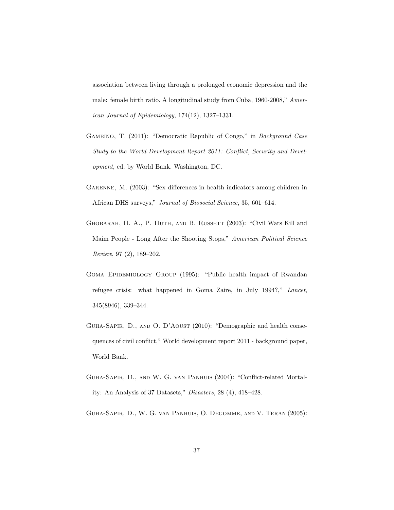association between living through a prolonged economic depression and the male: female birth ratio. A longitudinal study from Cuba, 1960-2008," American Journal of Epidemiology, 174(12), 1327–1331.

- Gambino, T. (2011): "Democratic Republic of Congo," in Background Case Study to the World Development Report 2011: Conflict, Security and Development, ed. by World Bank. Washington, DC.
- GARENNE, M. (2003): "Sex differences in health indicators among children in African DHS surveys," Journal of Biosocial Science, 35, 601–614.
- GHOBARAH, H. A., P. HUTH, AND B. RUSSETT (2003): "Civil Wars Kill and Maim People - Long After the Shooting Stops," American Political Science Review, 97 (2), 189–202.
- GOMA EPIDEMIOLOGY GROUP (1995): "Public health impact of Rwandan refugee crisis: what happened in Goma Zaire, in July 1994?," Lancet, 345(8946), 339–344.
- Guha-Sapir, D., and O. D'Aoust (2010): "Demographic and health consequences of civil conflict," World development report 2011 - background paper, World Bank.
- Guha-Sapir, D., and W. G. van Panhuis (2004): "Conflict-related Mortality: An Analysis of 37 Datasets," Disasters, 28 (4), 418–428.
- Guha-Sapir, D., W. G. van Panhuis, O. Degomme, and V. Teran (2005):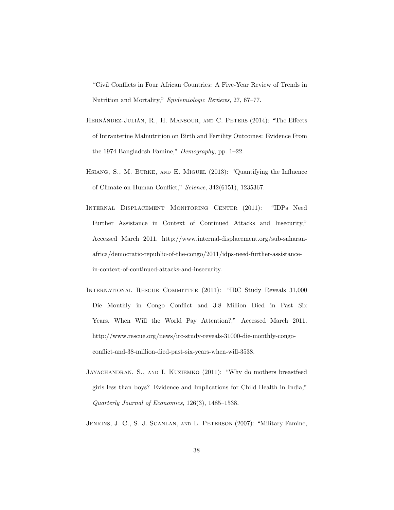"Civil Conflicts in Four African Countries: A Five-Year Review of Trends in Nutrition and Mortality," Epidemiologic Reviews, 27, 67–77.

- HERNÁNDEZ-JULIÁN, R., H. MANSOUR, AND C. PETERS (2014): "The Effects of Intrauterine Malnutrition on Birth and Fertility Outcomes: Evidence From the 1974 Bangladesh Famine," Demography, pp. 1–22.
- Hsiang, S., M. Burke, and E. Miguel (2013): "Quantifying the Influence of Climate on Human Conflict," Science, 342(6151), 1235367.
- Internal Displacement Monitoring Center (2011): "IDPs Need Further Assistance in Context of Continued Attacks and Insecurity," Accessed March 2011. http://www.internal-displacement.org/sub-saharanafrica/democratic-republic-of-the-congo/2011/idps-need-further-assistancein-context-of-continued-attacks-and-insecurity.
- International Rescue Committee (2011): "IRC Study Reveals 31,000 Die Monthly in Congo Conflict and 3.8 Million Died in Past Six Years. When Will the World Pay Attention?," Accessed March 2011. http://www.rescue.org/news/irc-study-reveals-31000-die-monthly-congoconflict-and-38-million-died-past-six-years-when-will-3538.
- Jayachandran, S., and I. Kuziemko (2011): "Why do mothers breastfeed girls less than boys? Evidence and Implications for Child Health in India," Quarterly Journal of Economics, 126(3), 1485–1538.
- Jenkins, J. C., S. J. Scanlan, and L. Peterson (2007): "Military Famine,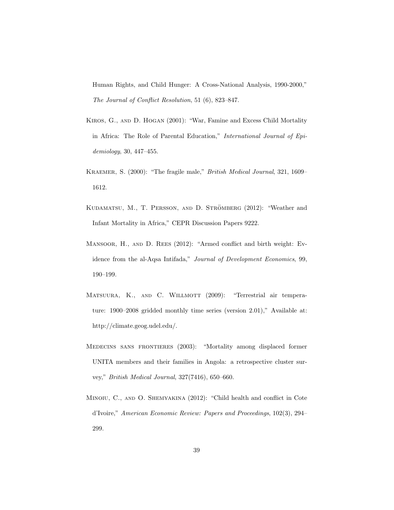Human Rights, and Child Hunger: A Cross-National Analysis, 1990-2000," The Journal of Conflict Resolution, 51 (6), 823–847.

- Kiros, G., and D. Hogan (2001): "War, Famine and Excess Child Mortality in Africa: The Role of Parental Education," International Journal of Epidemiology, 30, 447–455.
- Kraemer, S. (2000): "The fragile male," British Medical Journal, 321, 1609– 1612.
- KUDAMATSU, M., T. PERSSON, AND D. STRÖMBERG (2012): "Weather and Infant Mortality in Africa," CEPR Discussion Papers 9222.
- Mansoor, H., and D. Rees (2012): "Armed conflict and birth weight: Evidence from the al-Aqsa Intifada," Journal of Development Economics, 99, 190–199.
- MATSUURA, K., AND C. WILLMOTT (2009): "Terrestrial air temperature: 1900–2008 gridded monthly time series (version 2.01)," Available at: http://climate.geog.udel.edu/.
- Medecins sans frontieres (2003): "Mortality among displaced former UNITA members and their families in Angola: a retrospective cluster survey," British Medical Journal, 327(7416), 650–660.
- MINOIU, C., AND O. SHEMYAKINA (2012): "Child health and conflict in Cote d'Ivoire," American Economic Review: Papers and Proceedings, 102(3), 294– 299.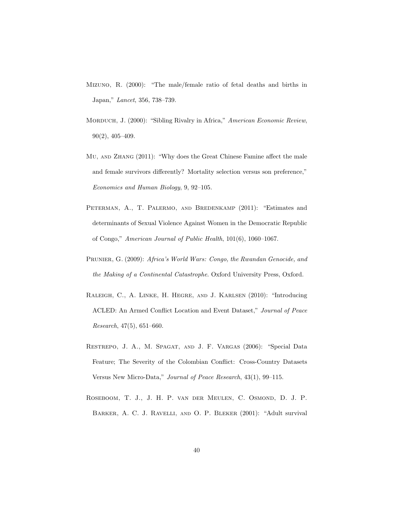- Mizuno, R. (2000): "The male/female ratio of fetal deaths and births in Japan," Lancet, 356, 738–739.
- MORDUCH, J. (2000): "Sibling Rivalry in Africa," American Economic Review, 90(2), 405–409.
- Mu, and Zhang (2011): "Why does the Great Chinese Famine affect the male and female survivors differently? Mortality selection versus son preference," Economics and Human Biology, 9, 92–105.
- PETERMAN, A., T. PALERMO, AND BREDENKAMP (2011): "Estimates and determinants of Sexual Violence Against Women in the Democratic Republic of Congo," American Journal of Public Health, 101(6), 1060–1067.
- PRUNIER, G. (2009): Africa's World Wars: Congo, the Rwandan Genocide, and the Making of a Continental Catastrophe. Oxford University Press, Oxford.
- Raleigh, C., A. Linke, H. Hegre, and J. Karlsen (2010): "Introducing ACLED: An Armed Conflict Location and Event Dataset," Journal of Peace Research, 47(5), 651–660.
- Restrepo, J. A., M. Spagat, and J. F. Vargas (2006): "Special Data Feature; The Severity of the Colombian Conflict: Cross-Country Datasets Versus New Micro-Data," Journal of Peace Research, 43(1), 99–115.
- Roseboom, T. J., J. H. P. van der Meulen, C. Osmond, D. J. P. Barker, A. C. J. Ravelli, and O. P. Bleker (2001): "Adult survival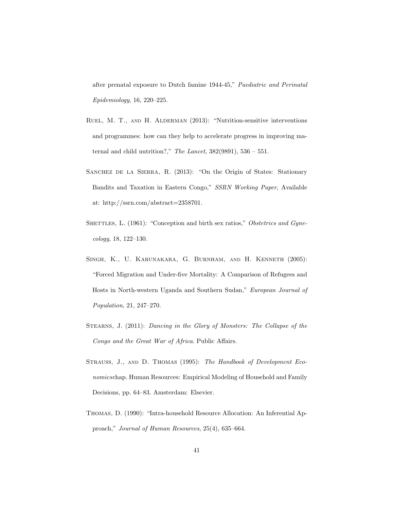after prenatal exposure to Dutch famine 1944-45," Paediatric and Perinatal Epidemiology, 16, 220–225.

- Ruel, M. T., and H. Alderman (2013): "Nutrition-sensitive interventions and programmes: how can they help to accelerate progress in improving maternal and child nutrition?," The Lancet,  $382(9891)$ ,  $536 - 551$ .
- SANCHEZ DE LA SIERRA, R. (2013): "On the Origin of States: Stationary Bandits and Taxation in Eastern Congo," SSRN Working Paper, Available at: http://ssrn.com/abstract=2358701.
- SHETTLES, L. (1961): "Conception and birth sex ratios," Obstetrics and Gynecology, 18, 122–130.
- Singh, K., U. Karunakara, G. Burnham, and H. Kenneth (2005): "Forced Migration and Under-five Mortality: A Comparison of Refugees and Hosts in North-western Uganda and Southern Sudan," European Journal of Population, 21, 247–270.
- STEARNS, J. (2011): Dancing in the Glory of Monsters: The Collapse of the Congo and the Great War of Africa. Public Affairs.
- Strauss, J., and D. Thomas (1995): The Handbook of Development Economicschap. Human Resources: Empirical Modeling of Household and Family Decisions, pp. 64–83. Amsterdam: Elsevier.
- Thomas, D. (1990): "Intra-household Resource Allocation: An Inferential Approach," Journal of Human Resources, 25(4), 635–664.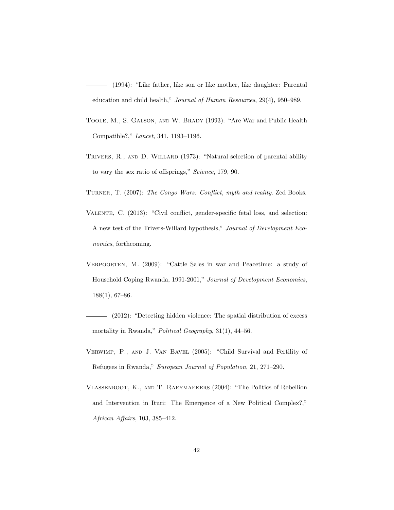(1994): "Like father, like son or like mother, like daughter: Parental education and child health," Journal of Human Resources, 29(4), 950–989.

- Toole, M., S. Galson, and W. Brady (1993): "Are War and Public Health Compatible?," Lancet, 341, 1193–1196.
- TRIVERS, R., AND D. WILLARD (1973): "Natural selection of parental ability to vary the sex ratio of offsprings," Science, 179, 90.
- TURNER, T. (2007): The Congo Wars: Conflict, myth and reality. Zed Books.
- Valente, C. (2013): "Civil conflict, gender-specific fetal loss, and selection: A new test of the Trivers-Willard hypothesis," Journal of Development Economics, forthcoming.
- Verpoorten, M. (2009): "Cattle Sales in war and Peacetime: a study of Household Coping Rwanda, 1991-2001," Journal of Development Economics, 188(1), 67–86.
- (2012): "Detecting hidden violence: The spatial distribution of excess mortality in Rwanda," Political Geography, 31(1), 44-56.
- Verwimp, P., and J. Van Bavel (2005): "Child Survival and Fertility of Refugees in Rwanda," European Journal of Population, 21, 271–290.
- Vlassenroot, K., and T. Raeymaekers (2004): "The Politics of Rebellion and Intervention in Ituri: The Emergence of a New Political Complex?," African Affairs, 103, 385–412.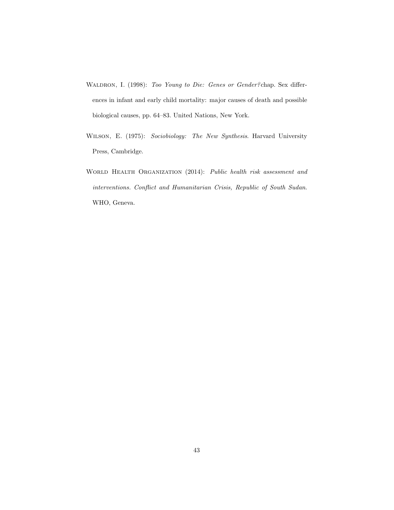- WALDRON, I. (1998): Too Young to Die: Genes or Gender? chap. Sex differences in infant and early child mortality: major causes of death and possible biological causes, pp. 64–83. United Nations, New York.
- Wilson, E. (1975): Sociobiology: The New Synthesis. Harvard University Press, Cambridge.
- WORLD HEALTH ORGANIZATION (2014): Public health risk assessment and interventions. Conflict and Humanitarian Crisis, Republic of South Sudan. WHO, Geneva.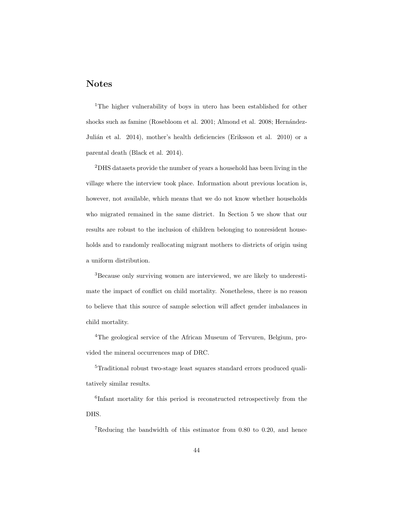## Notes

<sup>1</sup>The higher vulnerability of boys in utero has been established for other shocks such as famine (Rosebloom et al. 2001; Almond et al. 2008; Hernández-Julián et al. 2014), mother's health deficiencies (Eriksson et al. 2010) or a parental death (Black et al. 2014).

<sup>2</sup>DHS datasets provide the number of years a household has been living in the village where the interview took place. Information about previous location is, however, not available, which means that we do not know whether households who migrated remained in the same district. In Section 5 we show that our results are robust to the inclusion of children belonging to nonresident households and to randomly reallocating migrant mothers to districts of origin using a uniform distribution.

<sup>3</sup>Because only surviving women are interviewed, we are likely to underestimate the impact of conflict on child mortality. Nonetheless, there is no reason to believe that this source of sample selection will affect gender imbalances in child mortality.

<sup>4</sup>The geological service of the African Museum of Tervuren, Belgium, provided the mineral occurrences map of DRC.

<sup>5</sup>Traditional robust two-stage least squares standard errors produced qualitatively similar results.

6 Infant mortality for this period is reconstructed retrospectively from the DHS.

<sup>7</sup>Reducing the bandwidth of this estimator from 0.80 to 0.20, and hence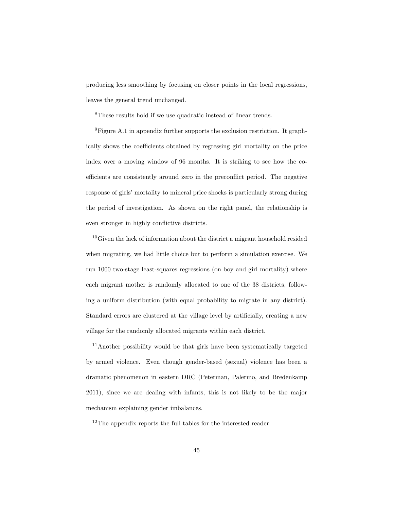producing less smoothing by focusing on closer points in the local regressions, leaves the general trend unchanged.

<sup>8</sup>These results hold if we use quadratic instead of linear trends.

 ${}^{9}$ Figure A.1 in appendix further supports the exclusion restriction. It graphically shows the coefficients obtained by regressing girl mortality on the price index over a moving window of 96 months. It is striking to see how the coefficients are consistently around zero in the preconflict period. The negative response of girls' mortality to mineral price shocks is particularly strong during the period of investigation. As shown on the right panel, the relationship is even stronger in highly conflictive districts.

 $10$ Given the lack of information about the district a migrant household resided when migrating, we had little choice but to perform a simulation exercise. We run 1000 two-stage least-squares regressions (on boy and girl mortality) where each migrant mother is randomly allocated to one of the 38 districts, following a uniform distribution (with equal probability to migrate in any district). Standard errors are clustered at the village level by artificially, creating a new village for the randomly allocated migrants within each district.

<sup>11</sup>Another possibility would be that girls have been systematically targeted by armed violence. Even though gender-based (sexual) violence has been a dramatic phenomenon in eastern DRC (Peterman, Palermo, and Bredenkamp 2011), since we are dealing with infants, this is not likely to be the major mechanism explaining gender imbalances.

<sup>12</sup>The appendix reports the full tables for the interested reader.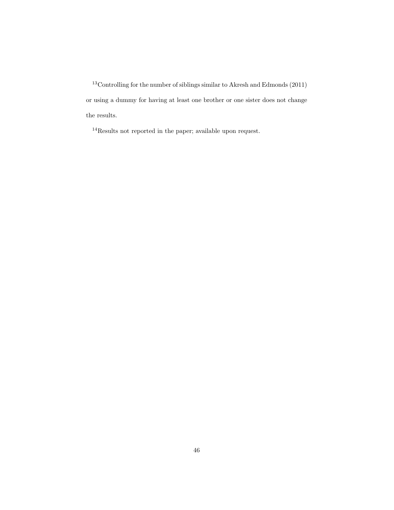<sup>13</sup>Controlling for the number of siblings similar to Akresh and Edmonds (2011) or using a dummy for having at least one brother or one sister does not change the results.

<sup>14</sup>Results not reported in the paper; available upon request.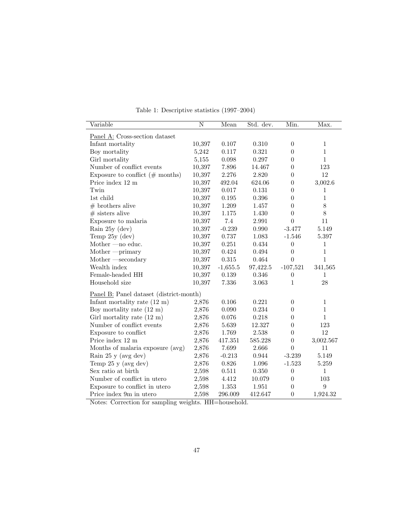| Variable                                | $\overline{N}$ | Mean       | Std. dev. | Min.             | Max.             |
|-----------------------------------------|----------------|------------|-----------|------------------|------------------|
| Panel A: Cross-section dataset          |                |            |           |                  |                  |
| Infant mortality                        | 10,397         | $0.107\,$  | 0.310     | $\boldsymbol{0}$ | $\mathbf{1}$     |
| Boy mortality                           | 5,242          | 0.117      | 0.321     | $\theta$         | $\mathbf{1}$     |
| Girl mortality                          | 5,155          | 0.098      | 0.297     | $\theta$         | $\mathbf{1}$     |
| Number of conflict events               | 10,397         | 7.896      | 14.467    | $\theta$         | 123              |
| Exposure to conflict $(\#$ months)      | 10,397         | 2.276      | 2.820     | $\theta$         | 12               |
| Price index 12 m                        | 10,397         | 492.04     | 624.06    | $\theta$         | 3,002.6          |
| Twin                                    | 10,397         | 0.017      | 0.131     | $\theta$         | 1                |
| 1st child                               | 10,397         | 0.195      | 0.396     | $\theta$         | $\mathbf{1}$     |
| $#$ brothers alive                      | 10,397         | 1.209      | 1.457     | $\theta$         | $8\,$            |
| $#$ sisters alive                       | 10,397         | $1.175\,$  | 1.430     | $\theta$         | $8\,$            |
| Exposure to malaria                     | 10,397         | 7.4        | 2.991     | $\boldsymbol{0}$ | 11               |
| Rain $25y$ (dev)                        | 10,397         | $-0.239$   | 0.990     | $-3.477$         | 5.149            |
| Temp $25y$ (dev)                        | 10,397         | 0.737      | 1.083     | $-1.546$         | 5.397            |
| Mother $\text{—no educ.}$               | 10,397         | 0.251      | 0.434     | $\overline{0}$   | $\mathbf{1}$     |
| $Mother$ --primary                      | 10,397         | 0.424      | 0.494     | $\overline{0}$   | $\mathbf{1}$     |
| $Mother -secondary$                     | 10,397         | 0.315      | 0.464     | $\theta$         | $\mathbf{1}$     |
| Wealth index                            | 10,397         | $-1,655.5$ | 97,422.5  | $-107,521$       | 341,565          |
| Female-headed HH                        | 10,397         | $0.139\,$  | 0.346     | $\boldsymbol{0}$ | $\mathbf{1}$     |
| Household size                          | 10,397         | 7.336      | 3.063     | $\mathbf 1$      | 28               |
| Panel B: Panel dataset (district-month) |                |            |           |                  |                  |
| Infant mortality rate $(12 \text{ m})$  | 2,876          | 0.106      | 0.221     | $\theta$         | $\mathbf{1}$     |
| Boy mortality rate $(12 \text{ m})$     | 2,876          | 0.090      | 0.234     | $\theta$         | $\mathbf{1}$     |
| Girl mortality rate $(12 \text{ m})$    | 2,876          | 0.076      | 0.218     | $\overline{0}$   | $\mathbf{1}$     |
| Number of conflict events               | 2,876          | 5.639      | 12.327    | $\boldsymbol{0}$ | 123              |
| Exposure to conflict                    | 2,876          | 1.769      | 2.538     | $\overline{0}$   | 12               |
| Price index 12 m                        | 2,876          | 417.351    | 585.228   | $\boldsymbol{0}$ | 3,002.567        |
| Months of malaria exposure (avg)        | 2,876          | 7.699      | 2.666     | $\Omega$         | 11               |
| Rain 25 y (avg dev)                     | 2,876          | $-0.213$   | 0.944     | $-3.239$         | 5.149            |
| Temp 25 y (avg dev)                     | 2,876          | 0.826      | 1.096     | $-1.523$         | 5.259            |
| Sex ratio at birth                      | 2,598          | 0.511      | 0.350     | $\theta$         | $\mathbf{1}$     |
| Number of conflict in utero             | 2,598          | 4.412      | 10.079    | $\theta$         | 103              |
| Exposure to conflict in utero           | 2,598          | $1.353\,$  | 1.951     | $\theta$         | $\boldsymbol{9}$ |
| Price index 9m in utero                 | 2,598          | 296.009    | 412.647   | $\overline{0}$   | 1,924.32         |

Table 1: Descriptive statistics (1997–2004)

Notes: Correction for sampling weights. HH=household.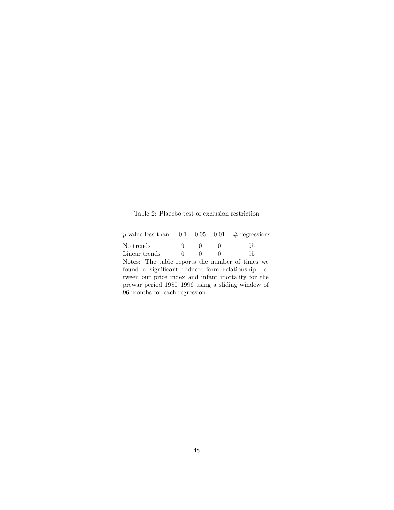Table 2: Placebo test of exclusion restriction

| <i>p</i> -value less than: $0.1$ $0.05$ $0.01$ # regressions |  |    |
|--------------------------------------------------------------|--|----|
| No trends                                                    |  | 95 |
| Linear trends                                                |  | 95 |

Notes: The table reports the number of times we found a significant reduced-form relationship between our price index and infant mortality for the prewar period 1980–1996 using a sliding window of 96 months for each regression.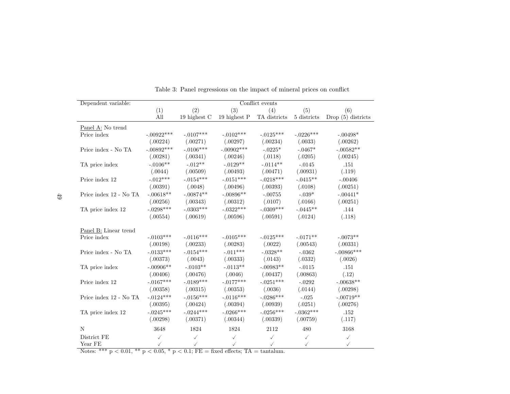| Dependent variable:                   | Conflict events |              |              |              |              |                      |
|---------------------------------------|-----------------|--------------|--------------|--------------|--------------|----------------------|
|                                       | (1)             | (2)          | (3)          | (4)          | (5)          | (6)                  |
|                                       | All             | 19 highest C | 19 highest P | TA districts | 5 districts  | Drop $(5)$ districts |
| Panel A: No trend                     |                 |              |              |              |              |                      |
| Price index                           | $-.00922***$    | $-.0107***$  | $-.0102***$  | $-.0125***$  | $-.0226***$  | $-.00498*$           |
|                                       | (.00224)        | (.00271)     | (.00297)     | (.00234)     | (.0033)      | (.00262)             |
| Price index - No TA                   | $-.00892***$    | $-.0106***$  | $-.00902***$ | $-.0225*$    | $-.0467*$    | $-.00582**$          |
|                                       | (.00281)        | (.00341)     | (.00246)     | (.0118)      | (.0205)      | (.00245)             |
| TA price index                        | $-.0106**$      | $-.012**$    | $-.0129**$   | $-.0114**$   | $-.0145$     | .151                 |
|                                       | (.0044)         | (.00509)     | (.00493)     | (.00471)     | (.00931)     | (.119)               |
| Price index 12                        | $-.012***$      | $-.0154***$  | $-.0151***$  | $-.0218***$  | $-.0415**$   | $-.00406$            |
|                                       | (.00391)        | (.0048)      | (.00496)     | (.00393)     | (.0108)      | (.00251)             |
| Price index 12 - No TA                | $-.00618**$     | $-.00874**$  | $-.00896**$  | $-.00755$    | $-.039*$     | $-.00441*$           |
|                                       | (.00256)        | (.00343)     | (.00312)     | (.0107)      | (.0166)      | (.00251)             |
| TA price index 12                     | $-.0298***$     | $-.0303***$  | $-.0322***$  | $-.0309***$  | $-.0445**$   | .144                 |
|                                       | (.00554)        | (.00619)     | (.00596)     | (.00591)     | (.0124)      | (.118)               |
| Panel B: Linear trend                 |                 |              |              |              |              |                      |
| Price index                           | $-.0103***$     | $-.0116***$  | $-.0105***$  | $-.0125***$  | $-.0171**$   | $-.0073**$           |
|                                       | (.00198)        | (.00233)     | (.00283)     | (.0022)      | (.00543)     | (.00331)             |
| Price index - No TA                   | $-.0133***$     | $-.0154***$  | $-.011***$   | $-.0328**$   | $-.0362$     | $-.00866$ ***        |
|                                       | (.00373)        | (.0043)      | (.00333)     | (.0143)      | (.0332)      | (.0026)              |
| TA price index                        | $-.00906**$     | $-.0103**$   | $-.0113**$   | $-.00983**$  | $-.0115$     | .151                 |
|                                       | (.00406)        | (.00476)     | (.0046)      | (.00437)     | (.00863)     | (.12)                |
| Price index 12                        | $-.0167***$     | $-.0189***$  | $-.0177***$  | $-.0251***$  | $-.0292$     | $-.00638**$          |
|                                       | (.00358)        | (.00315)     | (.00353)     | (.0036)      | (.0144)      | (.00298)             |
| Price index $12$ - $\mathrm{No \;TA}$ | $-.0124***$     | $-.0156***$  | $-.0116***$  | $-.0286***$  | $-.025$      | $-.00719**$          |
|                                       | (.00395)        | (.00424)     | (.00394)     | (.00939)     | (.0251)      | (.00276)             |
| TA price index 12                     | $-.0245***$     | $-.0244***$  | $-.0266***$  | $-.0256***$  | $-.0362***$  | .152                 |
|                                       | (.00298)        | (.00371)     | (.00344)     | (.00339)     | (.00759)     | (.117)               |
| N                                     | 3648            | 1824         | 1824         | 2112         | 480          | 3168                 |
| District FE                           | $\checkmark$    | $\checkmark$ | $\checkmark$ | $\checkmark$ | $\checkmark$ | $\checkmark$         |
| Year FE                               | $\checkmark$    | ✓            | $\checkmark$ | ✓            | $\checkmark$ | $\checkmark$         |

|  | Table 3: Panel regressions on the impact of mineral prices on conflict |  |  |
|--|------------------------------------------------------------------------|--|--|
|  |                                                                        |  |  |
|  |                                                                        |  |  |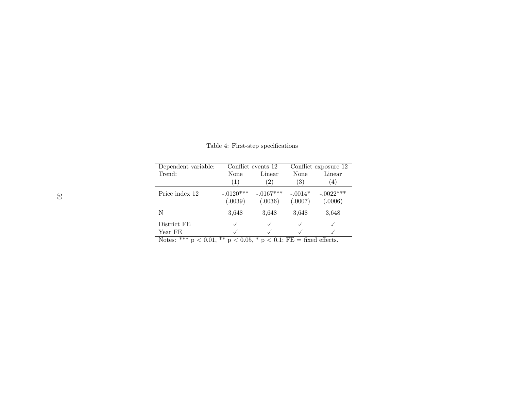| Dependent variable:                                                       |                        | Conflict events 12     |                      | Conflict exposure 12   |  |  |  |
|---------------------------------------------------------------------------|------------------------|------------------------|----------------------|------------------------|--|--|--|
| Trend:                                                                    | None                   | Linear                 | None                 | Linear                 |  |  |  |
|                                                                           | (1)                    | $^{\prime}2)$          | (3)                  | (4)                    |  |  |  |
| Price index 12                                                            | $-.0120***$<br>(.0039) | $-.0167***$<br>(.0036) | $-.0014*$<br>(.0007) | $-.0022***$<br>(.0006) |  |  |  |
| N                                                                         | 3.648                  | 3,648                  | 3.648                | 3.648                  |  |  |  |
| District FE                                                               |                        |                        |                      |                        |  |  |  |
| Year FE                                                                   |                        |                        |                      |                        |  |  |  |
| Notes: *** $p < 0.01$ , ** $p < 0.05$ , * $p < 0.1$ ; FE = fixed effects. |                        |                        |                      |                        |  |  |  |

Table 4: First-step specifications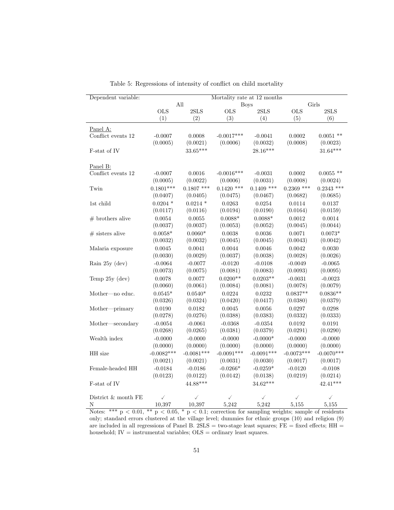| Dependent variable:      | Mortality rate at 12 months |              |              |              |              |              |  |
|--------------------------|-----------------------------|--------------|--------------|--------------|--------------|--------------|--|
|                          |                             | All          |              | <b>Boys</b>  | Girls        |              |  |
|                          | <b>OLS</b>                  | 2SLS         | <b>OLS</b>   | 2SLS         | <b>OLS</b>   | 2SLS         |  |
|                          | (1)                         | (2)          | (3)          | (4)          | (5)          | (6)          |  |
| Panel A:                 |                             |              |              |              |              |              |  |
| Conflict events 12       | $-0.0007$                   | 0.0008       | $-0.0017***$ | $-0.0041$    | 0.0002       | $0.0051$ **  |  |
|                          | (0.0005)                    | (0.0021)     | (0.0006)     | (0.0032)     | (0.0008)     | (0.0023)     |  |
| F-stat of IV             |                             | $33.65***$   |              | $28.16***$   |              | $31.64***$   |  |
|                          |                             |              |              |              |              |              |  |
| Panel B:                 |                             |              |              |              |              |              |  |
| Conflict events 12       | $-0.0007$                   | 0.0016       | $-0.0016***$ | $-0.0031$    | 0.0002       | $0.0055$ **  |  |
|                          | (0.0005)                    | (0.0022)     | (0.0006)     | (0.0031)     | (0.0008)     | (0.0024)     |  |
| Twin                     | $0.1801***$                 | $0.1807$ *** | $0.1420$ *** | $0.1409$ *** | $0.2369$ *** | $0.2343$ *** |  |
|                          | (0.0407)                    | (0.0405)     | (0.0475)     | (0.0467)     | (0.0682)     | (0.0685)     |  |
| 1st child                | $0.0204$ *                  | $0.0214$ *   | 0.0263       | 0.0254       | 0.0114       | 0.0137       |  |
|                          | (0.0117)                    | (0.0116)     | (0.0194)     | (0.0190)     | (0.0164)     | (0.0159)     |  |
| $#$ brothers alive       | 0.0054                      | 0.0055       | $0.0088*$    | $0.0088*$    | 0.0012       | 0.0014       |  |
|                          | (0.0037)                    | (0.0037)     | (0.0053)     | (0.0052)     | (0.0045)     | (0.0044)     |  |
| $#$ sisters alive        | $0.0058*$                   | $0.0060*$    | 0.0038       | 0.0036       | 0.0071       | $0.0073*$    |  |
|                          | (0.0032)                    | (0.0032)     | (0.0045)     | (0.0045)     | (0.0043)     | (0.0042)     |  |
| Malaria exposure         | 0.0045                      | 0.0041       | 0.0044       | 0.0046       | 0.0042       | 0.0030       |  |
|                          | (0.0030)                    | (0.0029)     | (0.0037)     | (0.0038)     | (0.0028)     | (0.0026)     |  |
| Rain 25y (dev)           | $-0.0064$                   | $-0.0077$    | $-0.0120$    | $-0.0108$    | $-0.0049$    | $-0.0065$    |  |
|                          | (0.0073)                    | (0.0075)     | (0.0081)     | (0.0083)     | (0.0093)     | (0.0095)     |  |
| Temp 25y (dev)           | 0.0078                      | 0.0077       | $0.0200**$   | $0.0203**$   | $-0.0031$    | $-0.0023$    |  |
|                          | (0.0060)                    | (0.0061)     | (0.0084)     | (0.0081)     | (0.0078)     | (0.0079)     |  |
| Mother—no educ.          | $0.0545*$                   | $0.0540*$    | 0.0224       | 0.0232       | $0.0837**$   | $0.0836**$   |  |
|                          | (0.0326)                    | (0.0324)     | (0.0420)     | (0.0417)     | (0.0380)     | (0.0379)     |  |
| Mother-primary           | 0.0190                      | 0.0182       | 0.0045       | 0.0056       | 0.0297       | 0.0298       |  |
|                          | (0.0278)                    | (0.0276)     | (0.0388)     | (0.0383)     | (0.0332)     | (0.0333)     |  |
| Mother-secondary         | $-0.0054$                   | $-0.0061$    | $-0.0368$    | $-0.0354$    | 0.0192       | 0.0191       |  |
|                          | (0.0268)                    | (0.0265)     | (0.0381)     | (0.0379)     | (0.0291)     | (0.0290)     |  |
| Wealth index             | $-0.0000$                   | $-0.0000$    | $-0.0000$    | $-0.0000*$   | $-0.0000$    | $-0.0000$    |  |
|                          | (0.0000)                    | (0.0000)     | (0.0000)     | (0.0000)     | (0.0000)     | (0.0000)     |  |
| HH size                  | $-0.0082***$                | $-0.0081***$ | $-0.0091***$ | $-0.0091***$ | $-0.0073***$ | $-0.0070***$ |  |
|                          | (0.0021)                    | (0.0021)     | (0.0031)     | (0.0030)     | (0.0017)     | (0.0017)     |  |
| Female-headed HH         | $-0.0184$                   | $-0.0186$    | $-0.0266*$   | $-0.0259*$   | $-0.0120$    | $-0.0108$    |  |
|                          | (0.0123)                    | (0.0122)     | (0.0142)     | (0.0138)     | (0.0219)     | (0.0214)     |  |
| F-stat of IV             |                             | 44.88***     |              | $34.62***$   |              | $42.41***$   |  |
|                          |                             |              |              |              |              |              |  |
| District $\&$ month $FE$ | ✓                           | ✓            | ✓            | ✓            | $\checkmark$ | $\checkmark$ |  |
| Ν                        | 10,397                      | 10,397       | 5,242        | 5,242        | 5,155        | 5,155        |  |

Table 5: Regressions of intensity of conflict on child mortality

Notes: \*\*\*  $p < 0.01$ , \*\*  $p < 0.05$ , \*  $p < 0.1$ ; correction for sampling weights; sample of residents only; standard errors clustered at the village level; dummies for ethnic groups (10) and religion (9) are included in all regressions of Panel B. 2SLS = two-stage least squares;  $FE = fixed$  effects;  $HH =$ household;  $IV =$  instrumental variables;  $OLS =$  ordinary least squares.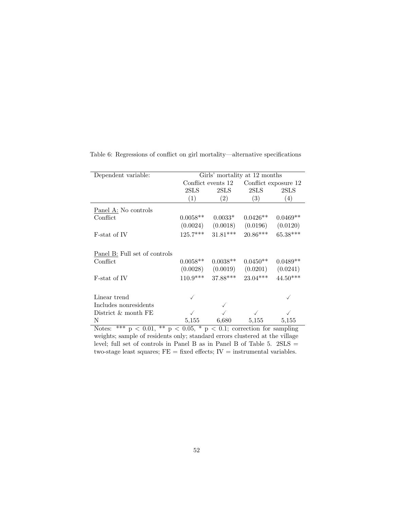| Dependent variable:                                                   | Girls' mortality at 12 months |                    |                                            |                      |  |  |  |  |
|-----------------------------------------------------------------------|-------------------------------|--------------------|--------------------------------------------|----------------------|--|--|--|--|
|                                                                       |                               | Conflict events 12 |                                            | Conflict exposure 12 |  |  |  |  |
|                                                                       | 2SLS                          | 2SLS               | 2SLS                                       | 2SLS                 |  |  |  |  |
|                                                                       | (1)                           | (2)                | (3)                                        | (4)                  |  |  |  |  |
| Panel A: No controls                                                  |                               |                    |                                            |                      |  |  |  |  |
| Conflict                                                              | $0.0058**$                    | $0.0033*$          | $0.0426**$                                 | $0.0469**$           |  |  |  |  |
|                                                                       | (0.0024)                      | (0.0018)           | (0.0196)                                   | (0.0120)             |  |  |  |  |
| F-stat of IV                                                          | $125.7***$                    | $31.81***$         | $20.86***$                                 | 65.38***             |  |  |  |  |
| Panel B: Full set of controls                                         |                               |                    |                                            |                      |  |  |  |  |
| Conflict                                                              | $0.0058**$                    | $0.0038**$         | $0.0450**$                                 | $0.0489**$           |  |  |  |  |
|                                                                       | (0.0028)                      | (0.0019)           | (0.0201)                                   | (0.0241)             |  |  |  |  |
| F-stat of IV                                                          | $110.9***$                    | $37.88***$         | $23.04***$                                 | $44.50***$           |  |  |  |  |
|                                                                       |                               |                    |                                            |                      |  |  |  |  |
| Linear trend                                                          |                               |                    |                                            |                      |  |  |  |  |
| Includes nonresidents                                                 |                               |                    |                                            |                      |  |  |  |  |
| District & month FE                                                   |                               |                    |                                            |                      |  |  |  |  |
| N                                                                     | 5,155                         | 6,680              | 5,155                                      | 5,155                |  |  |  |  |
| $\overline{***}$<br>$**$<br>$< 0.01$ .<br>Notes:<br>$\mathbf{D}$<br>D | $\lt$                         |                    | 0.05, $*$ p < 0.1; correction for sampling |                      |  |  |  |  |

Table 6: Regressions of conflict on girl mortality—alternative specifications

Notes: \*\*\*  $p < 0.01$ , \*\*  $p < 0.05$ , \*  $p < 0.1$ ; correction for sampling weights; sample of residents only; standard errors clustered at the village level; full set of controls in Panel B as in Panel B of Table 5. 2SLS = two-stage least squares;  $FE = fixed$  effects;  $IV =$  instrumental variables.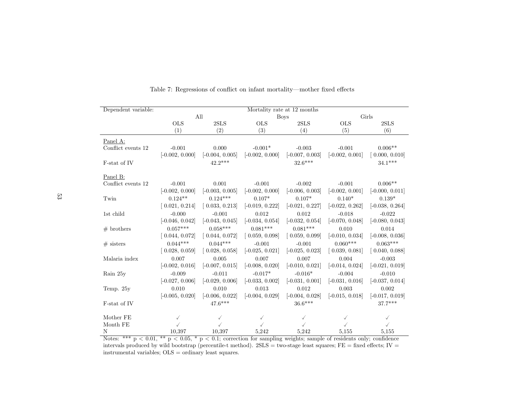| Dependent variable: | Mortality rate at 12 months |                   |                   |                   |                   |                   |  |
|---------------------|-----------------------------|-------------------|-------------------|-------------------|-------------------|-------------------|--|
|                     |                             | All               |                   | <b>Boys</b>       | Girls             |                   |  |
|                     | <b>OLS</b>                  | 2SLS              | <b>OLS</b>        | 2SLS              | <b>OLS</b>        | 2SLS              |  |
|                     | (1)                         | (2)               | (3)               | (4)               | (5)               | (6)               |  |
| Panel A:            |                             |                   |                   |                   |                   |                   |  |
| Conflict events 12  | $-0.001$                    | 0.000             | $-0.001*$         | $-0.003$          | $-0.001$          | $0.006**$         |  |
|                     | $[-0.002, 0.000]$           | $[-0.004, 0.005]$ | $[-0.002, 0.000]$ | $[-0.007, 0.003]$ | $[-0.002, 0.001]$ | 0.000, 0.010      |  |
| F-stat of IV        |                             | $42.2***$         |                   | $32.6***$         |                   | $34.1***$         |  |
| Panel B:            |                             |                   |                   |                   |                   |                   |  |
| Conflict events 12  | $-0.001$                    | 0.001             | $-0.001$          | $-0.002$          | $-0.001$          | $0.006**$         |  |
|                     | $[-0.002, 0.000]$           | $[-0.003, 0.005]$ | $[-0.002, 0.000]$ | $[-0.006, 0.003]$ | $[-0.002, 0.001]$ | $[-0.000, 0.011]$ |  |
| Twin                | $0.124**$                   | $0.124***$        | $0.107*$          | $0.107*$          | $0.140*$          | $0.139*$          |  |
|                     | [0.021, 0.214]              | [0.033, 0.213]    | $[-0.019, 0.222]$ | $[-0.021, 0.227]$ | $[-0.022, 0.262]$ | $[-0.038, 0.264]$ |  |
| 1st child           | $-0.000$                    | $-0.001$          | 0.012             | 0.012             | $-0.018$          | $-0.022$          |  |
|                     | $[-0.046, 0.042]$           | $[-0.043, 0.045]$ | $[-0.034, 0.054]$ | $[-0.032, 0.054]$ | $[-0.070, 0.048]$ | $[-0.080, 0.043]$ |  |
| $#$ brothers        | $0.057***$                  | $0.058***$        | $0.081***$        | $0.081***$        | 0.010             | 0.014             |  |
|                     | [0.044, 0.072]              | [0.044, 0.072]    | [0.059, 0.098]    | [0.059, 0.099]    | $[-0.010, 0.034]$ | $[-0.008, 0.036]$ |  |
| $#$ sisters         | $0.044***$                  | $0.044***$        | $-0.001$          | $-0.001$          | $0.060***$        | $0.063***$        |  |
|                     | 0.028, 0.059                | [0.028, 0.058]    | $[-0.025, 0.021]$ | $[-0.025, 0.023]$ | 0.039, 0.081      | 0.040, 0.088      |  |
| Malaria index       | 0.007                       | 0.005             | 0.007             | 0.007             | 0.004             | $-0.003$          |  |
|                     | $[-0.002, 0.016]$           | $[-0.007, 0.015]$ | $[-0.008, 0.020]$ | $[-0.010, 0.021]$ | $[-0.014, 0.024]$ | $[-0.021, 0.019]$ |  |
| Rain 25y            | $-0.009$                    | $-0.011$          | $-0.017*$         | $-0.016*$         | $-0.004$          | $-0.010$          |  |
|                     | $[-0.027, 0.006]$           | $[-0.029, 0.006]$ | $[-0.033, 0.002]$ | $[-0.031, 0.001]$ | $[-0.031, 0.016]$ | $[-0.037, 0.014]$ |  |
| Temp. $25y$         | 0.010                       | 0.010             | 0.013             | 0.012             | 0.003             | 0.002             |  |
|                     | $[-0.005, 0.020]$           | $[-0.006, 0.022]$ | $[-0.004, 0.029]$ | $[-0.004, 0.028]$ | $[-0.015, 0.018]$ | $[-0.017, 0.019]$ |  |
| F-stat of IV        |                             | $47.6***$         |                   | $36.6***$         |                   | 37.7***           |  |
| Mother FE           | ✓                           | ✓                 |                   |                   |                   | ✓                 |  |
| Month FE            |                             |                   |                   |                   |                   |                   |  |
| N                   | 10,397                      | 10.397            | 5,242             | 5,242             | 5,155             | 5,155             |  |

Table 7: Regressions of conflict on infant mortality—mother fixed effects

N<br>  $10,397$  10,397 5,242 5,242 5,155 5,155 5,155<br>
Notes: \*\*\*  $p < 0.01$ , \*\*  $p < 0.05$ , \*  $p < 0.1$ ; correction for sampling weights; sample of residents only; confidence<br>
intervals produced by wild bootstrap (percentile-t m instrumental variables; OLS <sup>=</sup> ordinary least squares.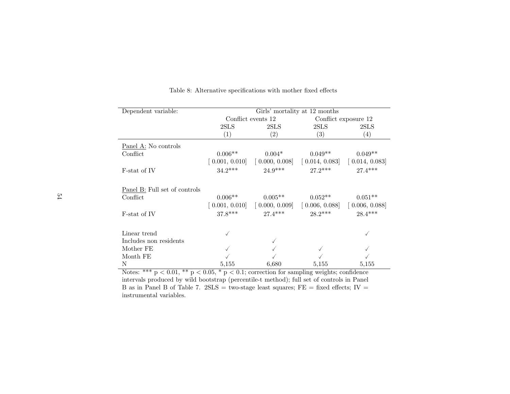| Dependent variable:           | Girls' mortality at 12 months |                                                                                                                                                                                     |                                                                                           |           |  |  |  |
|-------------------------------|-------------------------------|-------------------------------------------------------------------------------------------------------------------------------------------------------------------------------------|-------------------------------------------------------------------------------------------|-----------|--|--|--|
|                               |                               | Conflict events 12                                                                                                                                                                  | Conflict exposure 12                                                                      |           |  |  |  |
|                               | 2SLS                          | 2SLS                                                                                                                                                                                | 2SLS                                                                                      | 2SLS      |  |  |  |
|                               | (1)                           | (2)                                                                                                                                                                                 | $\left( 3\right)$                                                                         | (4)       |  |  |  |
| Panel A: No controls          |                               |                                                                                                                                                                                     |                                                                                           |           |  |  |  |
| Conflict                      | $0.006**$                     | $0.004*$                                                                                                                                                                            | $0.049**$                                                                                 | $0.049**$ |  |  |  |
|                               |                               | $\begin{bmatrix} 0.001, 0.010 \end{bmatrix}$ $\begin{bmatrix} 0.000, 0.008 \end{bmatrix}$ $\begin{bmatrix} 0.014, 0.083 \end{bmatrix}$ $\begin{bmatrix} 0.014, 0.083 \end{bmatrix}$ |                                                                                           |           |  |  |  |
| F-stat of IV                  | $34.2***$                     | $24.9***$                                                                                                                                                                           | $27.2***$                                                                                 | $27.4***$ |  |  |  |
|                               |                               |                                                                                                                                                                                     |                                                                                           |           |  |  |  |
| Panel B: Full set of controls |                               |                                                                                                                                                                                     |                                                                                           |           |  |  |  |
| Conflict                      | $0.006**$                     | $0.005**$                                                                                                                                                                           | $0.052**$                                                                                 | $0.051**$ |  |  |  |
|                               |                               | $\begin{bmatrix} 0.001, 0.010 \end{bmatrix}$ $\begin{bmatrix} 0.000, 0.009 \end{bmatrix}$                                                                                           | $\begin{bmatrix} 0.006, 0.088 \end{bmatrix}$ $\begin{bmatrix} 0.006, 0.088 \end{bmatrix}$ |           |  |  |  |
| F-stat of IV                  | $37.8***$                     | $27.4***$                                                                                                                                                                           | $28.2***$                                                                                 | $28.4***$ |  |  |  |
|                               |                               |                                                                                                                                                                                     |                                                                                           |           |  |  |  |
| Linear trend                  |                               |                                                                                                                                                                                     |                                                                                           |           |  |  |  |
| Includes non residents        |                               |                                                                                                                                                                                     |                                                                                           |           |  |  |  |
| Mother FE                     |                               |                                                                                                                                                                                     |                                                                                           |           |  |  |  |
| Month FE                      |                               |                                                                                                                                                                                     |                                                                                           |           |  |  |  |
| N                             | 5,155                         | 6,680                                                                                                                                                                               | 5,155                                                                                     | 5,155     |  |  |  |

Table 8: Alternative specifications with mother fixed effects

Notes: \*\*\*  $p < 0.01$ , \*\*  $p < 0.05$ , \*  $p < 0.1$ ; correction for sampling weights; confidence intervals produced by wild bootstrap (percentile-t method); full set of controls in PanelB as in Panel B of Table 7.  $2SLS = two-stage least squares; FE = fixed effects; IV =$ instrumental variables.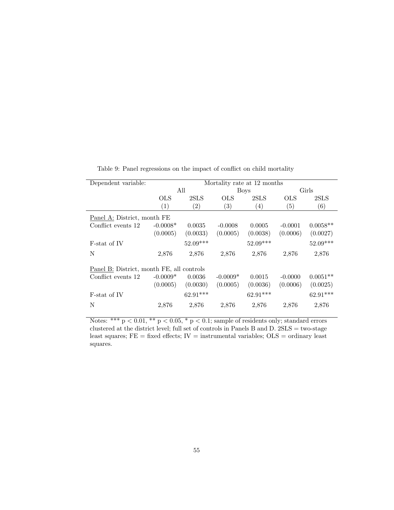| Dependent variable:                       |            | Mortality rate at 12 months |                   |                  |           |            |  |  |
|-------------------------------------------|------------|-----------------------------|-------------------|------------------|-----------|------------|--|--|
|                                           |            | All                         |                   | <b>Boys</b>      |           | Girls      |  |  |
|                                           | <b>OLS</b> | 2SLS                        | <b>OLS</b>        | 2SLS             | OLS       | 2SLS       |  |  |
|                                           | (1)        | $\left( 2\right)$           | $\left( 3\right)$ | $\left(4\right)$ | (5)       | (6)        |  |  |
| Panel A: District, month FE               |            |                             |                   |                  |           |            |  |  |
| Conflict events 12                        | $-0.0008*$ | 0.0035                      | $-0.0008$         | 0.0005           | $-0.0001$ | $0.0058**$ |  |  |
|                                           | (0.0005)   | (0.0033)                    | (0.0005)          | (0.0038)         | (0.0006)  | (0.0027)   |  |  |
| F-stat of IV                              |            | $52.09***$                  |                   | $52.09***$       |           | $52.09***$ |  |  |
| N                                         | 2,876      | 2,876                       | 2,876             | 2,876            | 2,876     | 2,876      |  |  |
| Panel B: District, month FE, all controls |            |                             |                   |                  |           |            |  |  |
| Conflict events 12                        | $-0.0009*$ | 0.0036                      | $-0.0009*$        | 0.0015           | $-0.0000$ | $0.0051**$ |  |  |
|                                           | (0.0005)   | (0.0030)                    | (0.0005)          | (0.0036)         | (0.0006)  | (0.0025)   |  |  |
| F-stat of IV                              |            | 62.91***                    |                   | $62.91***$       |           | $62.91***$ |  |  |
| N                                         | 2,876      | 2,876                       | 2,876             | 2,876            | 2,876     | 2,876      |  |  |

Table 9: Panel regressions on the impact of conflict on child mortality

Notes: \*\*\*  $p < 0.01$ , \*\*  $p < 0.05$ , \*  $p < 0.1$ ; sample of residents only; standard errors clustered at the district level; full set of controls in Panels B and D.  $2SLS = two-stage$ least squares;  $FE = fixed$  effects;  $IV =$  instrumental variables;  $OLS =$  ordinary least squares.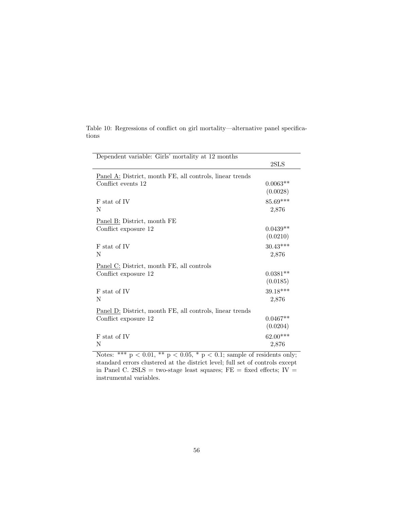| Dependent variable: Girls' mortality at 12 months                              |                 |
|--------------------------------------------------------------------------------|-----------------|
|                                                                                | 2SLS            |
| Panel A: District, month FE, all controls, linear trends                       |                 |
| Conflict events 12                                                             | $0.0063**$      |
|                                                                                | (0.0028)        |
| F stat of IV                                                                   | 85.69***        |
| N                                                                              | 2,876           |
| Panel B: District, month FE                                                    |                 |
| Conflict exposure 12                                                           | $0.0439**$      |
|                                                                                | (0.0210)        |
| F stat of IV                                                                   | $30.43***$      |
| Ν                                                                              | 2,876           |
| Panel C: District, month FE, all controls                                      |                 |
| Conflict exposure 12                                                           | $0.0381**$      |
|                                                                                | (0.0185)        |
| F stat of IV                                                                   | $39.18***$      |
| N                                                                              | 2,876           |
| Panel D: District, month FE, all controls, linear trends                       |                 |
| Conflict exposure 12                                                           | $0.0467**$      |
|                                                                                | (0.0204)        |
| F stat of IV                                                                   | $62.00***$      |
| Ν                                                                              | 2,876           |
| مالہ مالہ<br>$\mathbf{d}$<br>ملہ ملہ ملہ<br>$\sim$ $\sim$ $\sim$<br>$\epsilon$ | $\cdot$ $\cdot$ |

Table 10: Regressions of conflict on girl mortality—alternative panel specifications

Notes: \*\*\*  $p < 0.01$ , \*\*  $p < 0.05$ , \*  $p < 0.1$ ; sample of residents only; standard errors clustered at the district level; full set of controls except in Panel C. 2SLS = two-stage least squares;  $FE = fixed$  effects; IV = instrumental variables.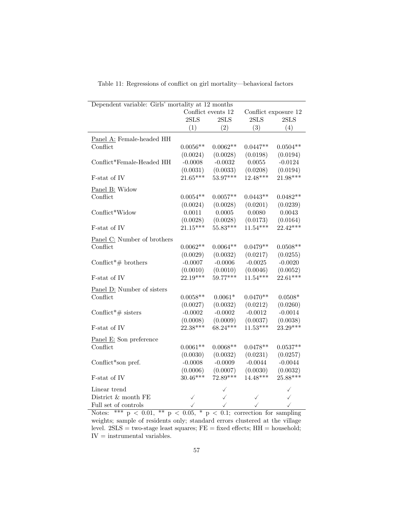| Dependent variable: Girls' mortality at 12 months                                                      |                                            |            |            |            |  |  |  |  |
|--------------------------------------------------------------------------------------------------------|--------------------------------------------|------------|------------|------------|--|--|--|--|
|                                                                                                        | Conflict events 12<br>Conflict exposure 12 |            |            |            |  |  |  |  |
|                                                                                                        | 2SLS                                       | 2SLS       | 2SLS       | 2SLS       |  |  |  |  |
|                                                                                                        | (1)                                        | (2)        | (3)        | (4)        |  |  |  |  |
| Panel A: Female-headed HH                                                                              |                                            |            |            |            |  |  |  |  |
| Conflict                                                                                               | $0.0056**$                                 | $0.0062**$ | $0.0447**$ | $0.0504**$ |  |  |  |  |
|                                                                                                        | (0.0024)                                   | (0.0028)   | (0.0198)   | (0.0194)   |  |  |  |  |
| Conflict*Female-Headed HH                                                                              | $-0.0008$                                  | $-0.0032$  | 0.0055     | $-0.0124$  |  |  |  |  |
|                                                                                                        | (0.0031)                                   | (0.0033)   | (0.0208)   | (0.0194)   |  |  |  |  |
| F-stat of IV                                                                                           | 21.65***                                   | $53.97***$ | $12.48***$ | $21.98***$ |  |  |  |  |
| Panel B: Widow                                                                                         |                                            |            |            |            |  |  |  |  |
| Conflict                                                                                               | $0.0054**$                                 | $0.0057**$ | $0.0443**$ | $0.0482**$ |  |  |  |  |
|                                                                                                        | (0.0024)                                   | (0.0028)   | (0.0201)   | (0.0239)   |  |  |  |  |
| Conflict*Widow                                                                                         | 0.0011                                     | 0.0005     | 0.0080     | 0.0043     |  |  |  |  |
|                                                                                                        | (0.0028)                                   | (0.0028)   | (0.0173)   | (0.0164)   |  |  |  |  |
| F-stat of IV                                                                                           | $21.15***$                                 | $55.83***$ | $11.54***$ | $22.42***$ |  |  |  |  |
| Panel C: Number of brothers                                                                            |                                            |            |            |            |  |  |  |  |
| Conflict                                                                                               | $0.0062**$                                 | $0.0064**$ | $0.0479**$ | $0.0508**$ |  |  |  |  |
|                                                                                                        | (0.0029)                                   | (0.0032)   | (0.0217)   | (0.0255)   |  |  |  |  |
| Conflict <sup>*</sup> # brothers                                                                       | $-0.0007$                                  | $-0.0006$  | $-0.0025$  | $-0.0020$  |  |  |  |  |
|                                                                                                        | (0.0010)                                   | (0.0010)   | (0.0046)   | (0.0052)   |  |  |  |  |
| F-stat of IV                                                                                           | $22.19***$                                 | 59.77***   | $11.54***$ | $22.61***$ |  |  |  |  |
| Panel D: Number of sisters                                                                             |                                            |            |            |            |  |  |  |  |
| Conflict                                                                                               | $0.0058**$                                 | $0.0061*$  | $0.0470**$ | $0.0508*$  |  |  |  |  |
|                                                                                                        | (0.0027)                                   | (0.0032)   | (0.0212)   | (0.0260)   |  |  |  |  |
| Conflict <sup>*</sup> # sisters                                                                        | $-0.0002$                                  | $-0.0002$  | $-0.0012$  | $-0.0014$  |  |  |  |  |
|                                                                                                        | (0.0008)                                   | (0.0009)   | (0.0037)   | (0.0038)   |  |  |  |  |
| F-stat of IV                                                                                           | 22.38***                                   | $68.24***$ | $11.53***$ | $23.29***$ |  |  |  |  |
| Panel E: Son preference                                                                                |                                            |            |            |            |  |  |  |  |
| Conflict                                                                                               | $0.0061**$                                 | $0.0068**$ | $0.0478**$ | $0.0537**$ |  |  |  |  |
|                                                                                                        | (0.0030)                                   | (0.0032)   | (0.0231)   | (0.0257)   |  |  |  |  |
| Conflict*son pref.                                                                                     | $-0.0008$                                  | $-0.0009$  | $-0.0044$  | $-0.0044$  |  |  |  |  |
|                                                                                                        | (0.0006)                                   | (0.0007)   | (0.0030)   | (0.0032)   |  |  |  |  |
| F-stat of IV                                                                                           | $30.46***$                                 | 72.89***   | 14.48***   | $25.88***$ |  |  |  |  |
| Linear trend                                                                                           |                                            |            |            | ✓          |  |  |  |  |
| District & month FE                                                                                    |                                            |            |            |            |  |  |  |  |
| Full set of controls                                                                                   |                                            |            |            |            |  |  |  |  |
| $**$<br>$\ast$<br>*** $p < 0.01$ ,<br>Notes:<br>$p < 0.05$ ,<br>$0.1$ ; correction for sampling<br>p < |                                            |            |            |            |  |  |  |  |

Table 11: Regressions of conflict on girl mortality—behavioral factors

weights; sample of residents only; standard errors clustered at the village level.  $2SLS = two-stage least squares; FE = fixed effects; HH = household;$ IV = instrumental variables.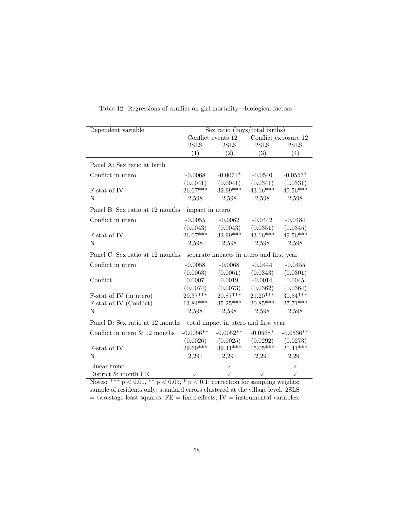| Dependent variable:                                                                    | Sex ratio (boys/total births) |                    |              |                      |  |  |  |
|----------------------------------------------------------------------------------------|-------------------------------|--------------------|--------------|----------------------|--|--|--|
|                                                                                        |                               | Conflict events 12 |              | Conflict exposure 12 |  |  |  |
|                                                                                        | 2SLS                          | 2SLS               | 2SLS         | $2{\rm SLS}$         |  |  |  |
|                                                                                        | (1)                           | (2)                | (3)          | (4)                  |  |  |  |
| Panel A: Sex ratio at birth                                                            |                               |                    |              |                      |  |  |  |
| Conflict in utero                                                                      | $-0.0068$                     | $-0.0071*$         | $-0.0540$    | $-0.0553*$           |  |  |  |
|                                                                                        | (0.0041)                      | (0.0041)           | (0.0341)     | (0.0331)             |  |  |  |
| F-stat of IV                                                                           | $26.07***$                    | 32.99***           | 43.16***     | 49.56***             |  |  |  |
| N                                                                                      | 2,598                         | 2,598              | 2,598        | 2,598                |  |  |  |
| Panel B: Sex ratio at 12 months—impact in utero                                        |                               |                    |              |                      |  |  |  |
| Conflict in utero                                                                      | $-0.0055$                     | $-0.0062$          | $-0.0442$    | $-0.0484$            |  |  |  |
|                                                                                        | (0.0043)                      | (0.0043)           | (0.0351)     | (0.0345)             |  |  |  |
| F-stat of IV                                                                           | 26.07***                      | 32.99***           | $43.16***$   | 49.56***             |  |  |  |
| N                                                                                      | 2,598                         | 2,598              | 2,598        | 2,598                |  |  |  |
| Panel C: Sex ratio at 12 months—separate impacts in utero and first year               |                               |                    |              |                      |  |  |  |
| Conflict in utero                                                                      | $-0.0058$                     | $-0.0068$          | $-0.0444$    | $-0.0455$            |  |  |  |
|                                                                                        | (0.0063)                      | (0.0061)           | (0.0343)     | (0.0301)             |  |  |  |
| Conflict                                                                               | 0.0007                        | 0.0019             | $-0.0014$    | 0.0045               |  |  |  |
|                                                                                        | (0.0074)                      | (0.0073)           | (0.0362)     | (0.0364)             |  |  |  |
| F-stat of IV (in utero)                                                                | 29.37***                      | $20.87***$         | $21.20***$   | $30.54***$           |  |  |  |
| F-stat of IV (Conflict)                                                                | $13.84***$                    | $35.25***$         | $20.85***$   | $27.71***$           |  |  |  |
| Ν                                                                                      | 2,598                         | 2,598              | 2,598        | 2,598                |  |  |  |
| Panel D: Sex ratio at 12 months—total impact in utero and first year                   |                               |                    |              |                      |  |  |  |
| Conflict in utero $\&$ 12 months                                                       | $-0.0056**$                   | $-0.0052**$        | $-0.0568*$   | $-0.0536**$          |  |  |  |
|                                                                                        | (0.0026)                      | (0.0025)           | (0.0292)     | (0.0273)             |  |  |  |
| $\text{F-stat of IV}$                                                                  | 29.69***                      | $39.41***$         | $15.05***$   | $20.41***$           |  |  |  |
| N                                                                                      | 2,291                         | 2,291              | 2,291        | 2,291                |  |  |  |
| Linear trend                                                                           |                               |                    |              | $\checkmark$         |  |  |  |
| District & month FE                                                                    |                               |                    | $\checkmark$ | $\checkmark$         |  |  |  |
| Notes: *** $p < 0.01$ , ** $p < 0.05$ , * $p < 0.1$ ; correction for sampling weights; |                               |                    |              |                      |  |  |  |

Table 12: Regressions of conflict on girl mortality—biological factors

sample of residents only; standard errors clustered at the village level. 2SLS  $=$  two-stage least squares;  $FE =$  fixed effects;  $IV =$  instrumental variables.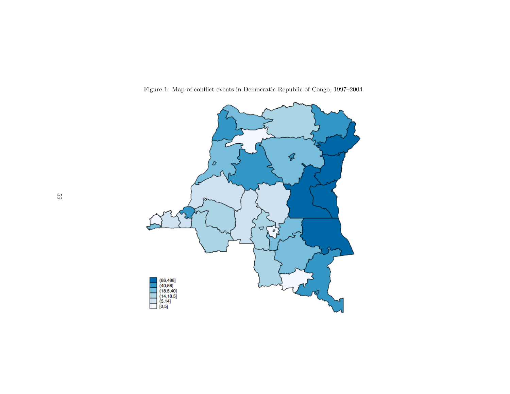

Figure 1: Map of conflict events in Democratic Republic of Congo, 1997–2004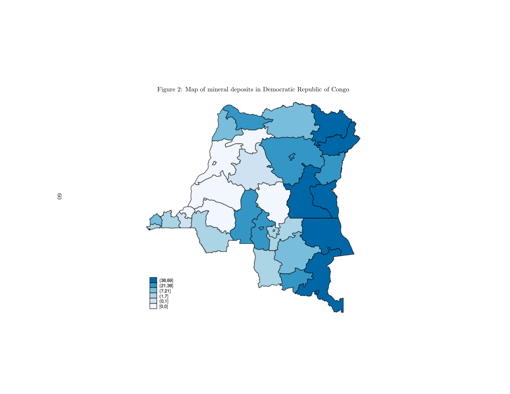

Figure 2: Map of mineral deposits in Democratic Republic of Congo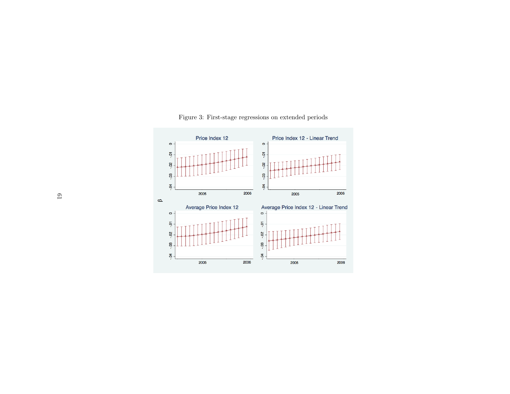

Figure 3: First-stage regressions on extended periods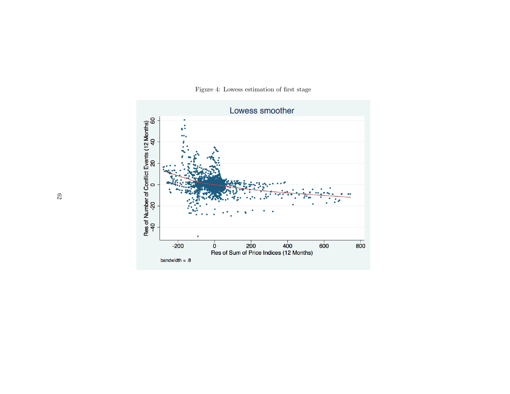

Figure 4: Lowess estimation of first stage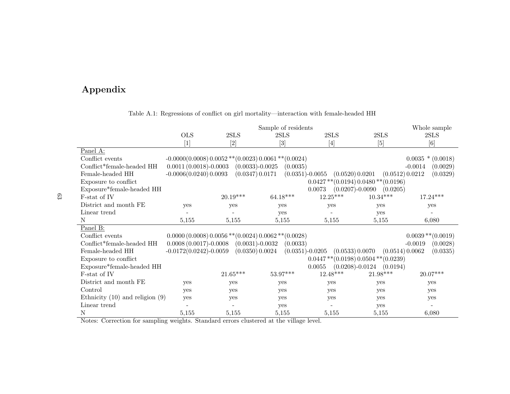## Appendix

|                                     |                          |              | Sample of residents                                                            |                                               |                 | Whole sample           |
|-------------------------------------|--------------------------|--------------|--------------------------------------------------------------------------------|-----------------------------------------------|-----------------|------------------------|
|                                     | <b>OLS</b>               | $2{\rm SLS}$ | 2SLS                                                                           | 2SLS                                          | $2{\rm SLS}$    | $2{\rm SLS}$           |
|                                     | $\lceil 1 \rceil$        | $[2]$        |                                                                                | [4]                                           | [5]             | [6]                    |
| Panel A:                            |                          |              |                                                                                |                                               |                 |                        |
| Conflict events                     |                          |              | $-0.0000(0.0008) 0.0052$ ** $(0.0023) 0.0061$ ** $(0.0024)$                    |                                               |                 | $0.0035 * (0.0018)$    |
| Conflict*female-headed HH           | $0.0011(0.0018)-0.0003$  |              | $(0.0033) - 0.0025$<br>(0.0035)                                                |                                               |                 | $-0.0014$<br>(0.0029)  |
| Female-headed HH                    | $-0.0006(0.0240)0.0093$  |              | (0.0347) 0.0171<br>$(0.0351) - 0.0055$                                         | (0.0520) 0.0201                               | (0.0512) 0.0212 | (0.0329)               |
| Exposure to conflict                |                          |              |                                                                                | $0.0427$ ** $(0.0194)$ $0.0480$ ** $(0.0196)$ |                 |                        |
| Exposure*female-headed HH           |                          |              |                                                                                | 0.0073<br>$(0.0207)$ -0.0090                  | (0.0205)        |                        |
| F-stat of IV                        |                          | 20.19***     | $64.18***$                                                                     | $12.25^{***}\,$                               | $10.34***$      | $17.24***$             |
| District and month FE               | yes                      | yes          | yes                                                                            | yes                                           | yes             | yes                    |
| Linear trend                        |                          |              | yes                                                                            |                                               | yes             |                        |
| N                                   | 5,155                    | 5,155        | 5,155                                                                          | 5,155                                         | 5,155           | 6,080                  |
| Panel B:                            |                          |              |                                                                                |                                               |                 |                        |
| Conflict events                     |                          |              | $0.0000(0.0008)0.0056$ <sup>**</sup> $(0.0024)0.0062$ <sup>**</sup> $(0.0028)$ |                                               |                 | $0.0039$ ** $(0.0019)$ |
| Conflict*female-headed HH           | $0.0008(0.0017)-0.0008$  |              | $(0.0031) - 0.0032$<br>(0.0033)                                                |                                               |                 | (0.0028)<br>$-0.0019$  |
| Female-headed HH                    | $-0.0172(0.0242)-0.0059$ |              | (0.0350) 0.0024<br>$(0.0351) - 0.0205$                                         | (0.0533) 0.0070                               | (0.0514) 0.0062 | (0.0335)               |
| Exposure to conflict                |                          |              |                                                                                | $0.0447$ ** $(0.0198)$ $0.0504$ ** $(0.0239)$ |                 |                        |
| Exposure*female-headed HH           |                          |              |                                                                                | $(0.0208) - 0.0124$<br>0.0055                 | (0.0194)        |                        |
| F-stat of IV                        |                          | $21.65***$   | $53.97***$                                                                     | $12.48^{\ast\ast\ast}$                        | $21.98***$      | $20.07***$             |
| District and month FE               | yes                      | yes          | yes                                                                            | yes                                           | yes             | yes                    |
| Control                             | yes                      | yes          | yes                                                                            | yes                                           | yes             | yes                    |
| Ethnicity $(10)$ and religion $(9)$ | yes                      | yes          | yes                                                                            | yes                                           | yes             | yes                    |
| Linear trend                        |                          |              | yes                                                                            |                                               | yes             |                        |
| N                                   | 5,155                    | 5,155        | 5,155                                                                          | 5,155                                         | 5,155           | 6,080                  |

## Table A.1: Regressions of conflict on girl mortality—interaction with female-headed HH

Notes: Correction for sampling weights. Standard errors clustered at the village level.

63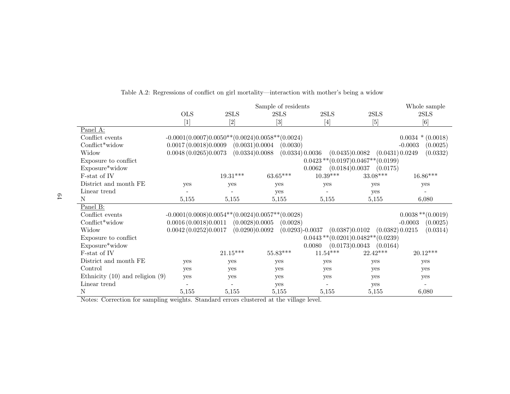|                                     |                      |                | Sample of residents                                  |            |                                            | Whole sample           |
|-------------------------------------|----------------------|----------------|------------------------------------------------------|------------|--------------------------------------------|------------------------|
|                                     | <b>OLS</b>           | 2SLS           | 2SLS                                                 | 2SLS       | 2SLS                                       | 2SLS                   |
|                                     | [1]                  | $[2]$          | $[3]$                                                | $[4]$      | [5]                                        | [6]                    |
| Panel A:                            |                      |                |                                                      |            |                                            |                        |
| Conflict events                     |                      |                | $-0.0001(0.0007)0.0050**$ (0.0024) 0.0058** (0.0024) |            |                                            | $0.0034 * (0.0018)$    |
| Conflict*widow                      | 0.0017(0.0018)0.0009 | (0.0031)0.0004 | (0.0030)                                             |            |                                            | $-0.0003$<br>(0.0025)  |
| Widow                               | 0.0048(0.0265)0.0073 | (0.0334)0.0088 | (0.0334) 0.0036                                      |            | (0.0435)0.0082<br>(0.0431) 0.0249          | (0.0332)               |
| Exposure to conflict                |                      |                |                                                      |            | $0.0423$ ** $(0.0197)0.0467$ ** $(0.0199)$ |                        |
| Exposure*widow                      |                      |                |                                                      | 0.0062     | (0.0184)0.0037<br>(0.0175)                 |                        |
| F-stat of IV                        |                      | $19.31***$     | $63.65***$                                           | $10.39***$ | $33.08***$                                 | $16.86^{\ast\ast\ast}$ |
| District and month FE               | yes                  | yes            | yes                                                  | yes        | yes                                        | yes                    |
| Linear trend                        |                      |                | yes                                                  |            | yes                                        |                        |
| N                                   | 5,155                | 5,155          | 5,155                                                | 5,155      | 5,155                                      | 6,080                  |
| Panel B:                            |                      |                |                                                      |            |                                            |                        |
| Conflict events                     |                      |                | $-0.0001(0.0008)0.0054**$ (0.0024) 0.0057** (0.0028) |            |                                            | $0.0038$ ** $(0.0019)$ |
| Conflict*widow                      | 0.0016(0.0018)0.0011 | (0.0028)0.0005 | (0.0028)                                             |            |                                            | $-0.0003$<br>(0.0025)  |
| Widow                               | 0.0042(0.0252)0.0017 | (0.0290)0.0092 | $(0.0293) - 0.0037$                                  |            | (0.0382) 0.0215<br>(0.0387)0.0102          | (0.0314)               |
| Exposure to conflict                |                      |                |                                                      |            | $0.0443**$ (0.0201) 0.0482** (0.0239)      |                        |
| Exposure*widow                      |                      |                |                                                      | 0.0080     | (0.0173)0.0043<br>(0.0164)                 |                        |
| F-stat of IV                        |                      | $21.15***$     | $55.83***$                                           | $11.54***$ | $22.42***$                                 | $20.12***$             |
| District and month FE               | yes                  | yes            | yes                                                  | yes        | yes                                        | yes                    |
| Control                             | yes                  | yes            | yes                                                  | yes        | yes                                        | yes                    |
| Ethnicity $(10)$ and religion $(9)$ | yes                  | yes            | yes                                                  | yes        | yes                                        | yes                    |
| Linear trend                        |                      |                | yes                                                  |            | yes                                        |                        |
| N                                   | 5,155                | 5,155          | 5,155                                                | 5,155      | 5,155                                      | 6,080                  |

### Table A.2: Regressions of conflict on girl mortality—interaction with mother's being <sup>a</sup> widow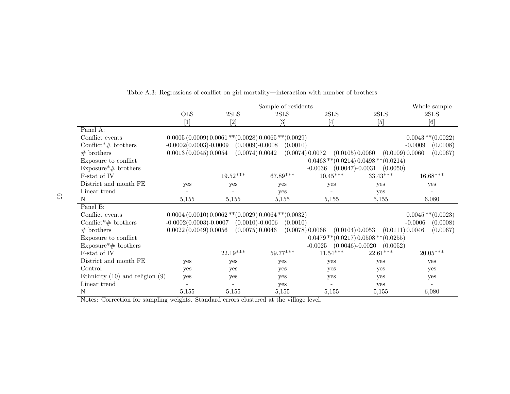|                                     | Sample of residents      |                     |                                                                                                                                                                                  |                                    |                                               | Whole sample           |
|-------------------------------------|--------------------------|---------------------|----------------------------------------------------------------------------------------------------------------------------------------------------------------------------------|------------------------------------|-----------------------------------------------|------------------------|
|                                     | <b>OLS</b>               | 2SLS                | 2SLS                                                                                                                                                                             | 2SLS                               | 2SLS                                          | 2SLS                   |
|                                     | $[1]$                    | $[2]$               | $[3] % \includegraphics[width=0.9\columnwidth]{figures/fig_1a} \caption{Schematic diagram of the top of the top of the top of the top of the top of the right.} \label{fig:1} %$ | $[4]$                              | $[5]$                                         | [6]                    |
| Panel A:                            |                          |                     |                                                                                                                                                                                  |                                    |                                               |                        |
| Conflict events                     |                          |                     | $0.0005(0.0009)0.0061**$ (0.0028) $0.0065**$ (0.0029)                                                                                                                            |                                    |                                               | $0.0043$ ** $(0.0022)$ |
| Conflict <sup>*</sup> # brothers    | $-0.0002(0.0003)-0.0009$ | $(0.0009) - 0.0008$ | (0.0010)                                                                                                                                                                         |                                    |                                               | $-0.0009$<br>(0.0008)  |
| $#$ brothers                        | 0.0013(0.0045)0.0054     | (0.0074) 0.0042     |                                                                                                                                                                                  | (0.0074) 0.0072<br>(0.0105) 0.0060 | (0.0109) 0.0060                               | (0.0067)               |
| Exposure to conflict                |                          |                     |                                                                                                                                                                                  |                                    | $0.0468$ ** $(0.0214)$ $0.0498$ ** $(0.0214)$ |                        |
| Exposure*# brothers                 |                          |                     |                                                                                                                                                                                  | $-0.0036$                          | $(0.0047)$ -0.0031<br>(0.0050)                |                        |
| F-stat of IV                        |                          | $19.52***$          | 67.89***                                                                                                                                                                         | $10.45^{***}\,$                    | $33.43***$                                    | $16.68^{\ast\ast\ast}$ |
| District and month FE               | <b>ves</b>               | yes                 | yes                                                                                                                                                                              | yes                                | yes                                           | yes                    |
| Linear trend                        |                          |                     | yes                                                                                                                                                                              |                                    | yes                                           |                        |
| N                                   | 5,155                    | 5,155               | 5,155                                                                                                                                                                            | 5,155                              | 5,155                                         | 6,080                  |
| Panel B:                            |                          |                     |                                                                                                                                                                                  |                                    |                                               |                        |
| Conflict events                     |                          |                     | $0.0004(0.0010)0.0062**$ (0.0029) $0.0064**$ (0.0032)                                                                                                                            |                                    |                                               | $0.0045$ ** $(0.0023)$ |
| Conflict <sup>*</sup> # brothers    | $-0.0002(0.0003)-0.0007$ | $(0.0010)$ -0.0006  | (0.0010)                                                                                                                                                                         |                                    |                                               | $-0.0006$<br>(0.0008)  |
| $#$ brothers                        | 0.0022(0.0049)0.0056     | (0.0075) 0.0046     |                                                                                                                                                                                  | (0.0078) 0.0066<br>(0.0104) 0.0053 | (0.0111) 0.0046                               | (0.0067)               |
| Exposure to conflict                |                          |                     |                                                                                                                                                                                  |                                    | $0.0479**$ (0.0217) 0.0508 ** (0.0255)        |                        |
| Exposure*# brothers                 |                          |                     |                                                                                                                                                                                  | $-0.0025$                          | $(0.0046) - 0.0020$<br>(0.0052)               |                        |
| F-stat of IV                        |                          | $22.19***$          | 59.77***                                                                                                                                                                         | $11.54***$                         | $22.61***$                                    | $20.05***$             |
| District and month FE               | yes                      | yes                 | yes                                                                                                                                                                              | yes                                | yes                                           | yes                    |
| Control                             | yes                      | yes                 | yes                                                                                                                                                                              | yes                                | yes                                           | yes                    |
| Ethnicity $(10)$ and religion $(9)$ | yes                      | yes                 | yes                                                                                                                                                                              | yes                                | yes                                           | yes                    |
| Linear trend                        |                          |                     | yes                                                                                                                                                                              |                                    | yes                                           |                        |
| N                                   | 5,155                    | 5,155               | 5,155                                                                                                                                                                            | 5,155                              | 5,155                                         | 6,080                  |

### Table A.3: Regressions of conflict on girl mortality—interaction with number of brothers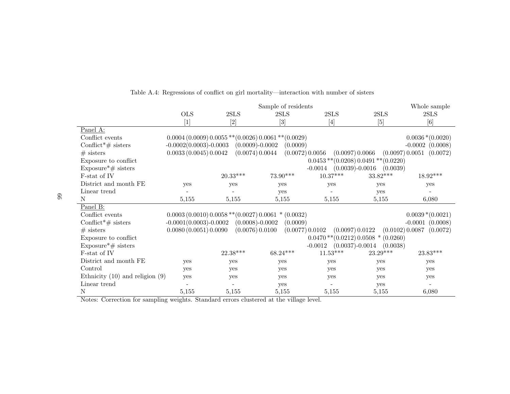|                                     | Sample of residents                                                                                                                                                                                                                                                                                                                                                                                                                                                                                                                                                                                                                                                                                                              |                                                       |            |                                                                                                                                                                                                                                                                                                                                                                                                                                                                    |                                                                                                                                                                                                | Whole sample             |
|-------------------------------------|----------------------------------------------------------------------------------------------------------------------------------------------------------------------------------------------------------------------------------------------------------------------------------------------------------------------------------------------------------------------------------------------------------------------------------------------------------------------------------------------------------------------------------------------------------------------------------------------------------------------------------------------------------------------------------------------------------------------------------|-------------------------------------------------------|------------|--------------------------------------------------------------------------------------------------------------------------------------------------------------------------------------------------------------------------------------------------------------------------------------------------------------------------------------------------------------------------------------------------------------------------------------------------------------------|------------------------------------------------------------------------------------------------------------------------------------------------------------------------------------------------|--------------------------|
|                                     | <b>OLS</b>                                                                                                                                                                                                                                                                                                                                                                                                                                                                                                                                                                                                                                                                                                                       | 2SLS                                                  | 2SLS       | 2SLS                                                                                                                                                                                                                                                                                                                                                                                                                                                               | 2SLS                                                                                                                                                                                           | 2SLS                     |
|                                     | $[1] % \begin{center} % \includegraphics[width=\linewidth]{imagesSupplemental_3.png} % \end{center} % \caption { % Our method can be used for the proposed method. % Note that the \emph{exponent} and \emph{exponent} is used in the image. % Note that the \emph{exponent} is used in the image. % Note that the \emph{exponent} is used in the image. % Note that the \emph{exponent} is used in the image. % Note that the \emph{exponent} is used in the image. % Note that the \emph{exponent} is used in the image. % Note that the \emph{exponent} is used in the image. % Note that the \emph{exponent} is used in the image. % Note that the \emph{exponent} is used in the image. % Note that the \emph{exponent} is$ |                                                       | $[3]$      | $[4] % \includegraphics[width=0.9\columnwidth]{figures/fig_4} \caption{A graph shows a function of the parameter $\{1,2,3,4,\cdots\}$ for the parameter $3$. The number of points are $3$, $3$, $4$, $4$, $5$, $6$, $6$, $7$, $8$, $8$, $8$, $9$, $1$, $1$, $2$, $1$, $2$, $3$, $4$, $4$, $5$, $6$, $7$, $8$, $9$, $1$, $1$, $2$, $4$, $3$, $4$, $5$, $6$, $6$, $7$, $8$, $9$, $1$, $1$, $2$, $2$, $3$, $4$, $4$, $5$, $6$, $6$, $7$, $8$, $9$, $1$, $2$, $1$, $3$ | $[5] % \begin{center} \includegraphics[width=\linewidth]{imagesSupplemental/Imit} \caption{The image shows the image shows a function of the number of times.} \label{fig:limal} \end{center}$ | [6]                      |
| Panel A:                            |                                                                                                                                                                                                                                                                                                                                                                                                                                                                                                                                                                                                                                                                                                                                  |                                                       |            |                                                                                                                                                                                                                                                                                                                                                                                                                                                                    |                                                                                                                                                                                                |                          |
| Conflict events                     |                                                                                                                                                                                                                                                                                                                                                                                                                                                                                                                                                                                                                                                                                                                                  | $0.0004(0.0009)0.0055**$ (0.0026) $0.0061**$ (0.0029) |            |                                                                                                                                                                                                                                                                                                                                                                                                                                                                    |                                                                                                                                                                                                | $0.0036*(0.0020)$        |
| Conflict <sup>*</sup> $\#$ sisters  | $-0.0002(0.0003)-0.0003$                                                                                                                                                                                                                                                                                                                                                                                                                                                                                                                                                                                                                                                                                                         | $(0.0009) - 0.0002$                                   | (0.0009)   |                                                                                                                                                                                                                                                                                                                                                                                                                                                                    |                                                                                                                                                                                                | $-0.0002$ $(0.0008)$     |
| $#$ sisters                         | 0.0033(0.0045)0.0042                                                                                                                                                                                                                                                                                                                                                                                                                                                                                                                                                                                                                                                                                                             | (0.0074) 0.0044                                       |            | (0.0072) 0.0056<br>(0.0097) 0.0066                                                                                                                                                                                                                                                                                                                                                                                                                                 |                                                                                                                                                                                                | (0.0097) 0.0051 (0.0072) |
| Exposure to conflict                |                                                                                                                                                                                                                                                                                                                                                                                                                                                                                                                                                                                                                                                                                                                                  |                                                       |            | $0.0453$ ** $(0.0208)$ $0.0491$ ** $(0.0220)$                                                                                                                                                                                                                                                                                                                                                                                                                      |                                                                                                                                                                                                |                          |
| Exposure $*$ # sisters              |                                                                                                                                                                                                                                                                                                                                                                                                                                                                                                                                                                                                                                                                                                                                  |                                                       |            | $-0.0014$ $(0.0039)-0.0016$                                                                                                                                                                                                                                                                                                                                                                                                                                        | (0.0039)                                                                                                                                                                                       |                          |
| F-stat of IV                        |                                                                                                                                                                                                                                                                                                                                                                                                                                                                                                                                                                                                                                                                                                                                  | $20.33***$                                            | 73.90***   | $10.37***$                                                                                                                                                                                                                                                                                                                                                                                                                                                         | $33.82***$                                                                                                                                                                                     | $18.92***$               |
| District and month FE               | <b>ves</b>                                                                                                                                                                                                                                                                                                                                                                                                                                                                                                                                                                                                                                                                                                                       | yes                                                   | yes        | yes                                                                                                                                                                                                                                                                                                                                                                                                                                                                | yes                                                                                                                                                                                            | yes                      |
| Linear trend                        |                                                                                                                                                                                                                                                                                                                                                                                                                                                                                                                                                                                                                                                                                                                                  |                                                       | yes        |                                                                                                                                                                                                                                                                                                                                                                                                                                                                    | yes                                                                                                                                                                                            |                          |
| N                                   | 5,155                                                                                                                                                                                                                                                                                                                                                                                                                                                                                                                                                                                                                                                                                                                            | 5,155                                                 | 5,155      | 5,155                                                                                                                                                                                                                                                                                                                                                                                                                                                              | 5,155                                                                                                                                                                                          | 6,080                    |
| Panel B:                            |                                                                                                                                                                                                                                                                                                                                                                                                                                                                                                                                                                                                                                                                                                                                  |                                                       |            |                                                                                                                                                                                                                                                                                                                                                                                                                                                                    |                                                                                                                                                                                                |                          |
| Conflict events                     |                                                                                                                                                                                                                                                                                                                                                                                                                                                                                                                                                                                                                                                                                                                                  | $0.0003(0.0010)0.0058**$ (0.0027) $0.0061*(0.0032)$   |            |                                                                                                                                                                                                                                                                                                                                                                                                                                                                    |                                                                                                                                                                                                | $0.0039*(0.0021)$        |
| Conflict <sup>*</sup> # sisters     | $-0.0001(0.0003)-0.0002$                                                                                                                                                                                                                                                                                                                                                                                                                                                                                                                                                                                                                                                                                                         | $(0.0008) - 0.0002$                                   | (0.0009)   |                                                                                                                                                                                                                                                                                                                                                                                                                                                                    |                                                                                                                                                                                                | $-0.0001$ $(0.0008)$     |
| $#$ sisters                         | 0.0080(0.0051)0.0090                                                                                                                                                                                                                                                                                                                                                                                                                                                                                                                                                                                                                                                                                                             | (0.0076) 0.0100                                       |            | (0.0077) 0.0102<br>(0.0097) 0.0122                                                                                                                                                                                                                                                                                                                                                                                                                                 |                                                                                                                                                                                                | (0.0102) 0.0087 (0.0072) |
| Exposure to conflict                |                                                                                                                                                                                                                                                                                                                                                                                                                                                                                                                                                                                                                                                                                                                                  |                                                       |            | $0.0470$ ** $(0.0212)$ 0.0508 * $(0.0260)$                                                                                                                                                                                                                                                                                                                                                                                                                         |                                                                                                                                                                                                |                          |
| $Exposure* \# \text{~sisters}$      |                                                                                                                                                                                                                                                                                                                                                                                                                                                                                                                                                                                                                                                                                                                                  |                                                       |            | $(0.0037)$ -0.0014<br>$-0.0012$                                                                                                                                                                                                                                                                                                                                                                                                                                    | (0.0038)                                                                                                                                                                                       |                          |
| F-stat of IV                        |                                                                                                                                                                                                                                                                                                                                                                                                                                                                                                                                                                                                                                                                                                                                  | $22.38***$                                            | $68.24***$ | $11.53***$                                                                                                                                                                                                                                                                                                                                                                                                                                                         | $23.29***$                                                                                                                                                                                     | 23.83***                 |
| District and month FE               | yes                                                                                                                                                                                                                                                                                                                                                                                                                                                                                                                                                                                                                                                                                                                              | yes                                                   | yes        | yes                                                                                                                                                                                                                                                                                                                                                                                                                                                                | yes                                                                                                                                                                                            | yes                      |
| Control                             | yes                                                                                                                                                                                                                                                                                                                                                                                                                                                                                                                                                                                                                                                                                                                              | yes                                                   | yes        | yes                                                                                                                                                                                                                                                                                                                                                                                                                                                                | yes                                                                                                                                                                                            | yes                      |
| Ethnicity $(10)$ and religion $(9)$ | yes                                                                                                                                                                                                                                                                                                                                                                                                                                                                                                                                                                                                                                                                                                                              | yes                                                   | yes        | yes                                                                                                                                                                                                                                                                                                                                                                                                                                                                | yes                                                                                                                                                                                            | yes                      |
| Linear trend                        |                                                                                                                                                                                                                                                                                                                                                                                                                                                                                                                                                                                                                                                                                                                                  |                                                       | yes        |                                                                                                                                                                                                                                                                                                                                                                                                                                                                    | yes                                                                                                                                                                                            |                          |
| $\mathbf N$                         | 5,155                                                                                                                                                                                                                                                                                                                                                                                                                                                                                                                                                                                                                                                                                                                            | 5,155                                                 | 5,155      | 5,155                                                                                                                                                                                                                                                                                                                                                                                                                                                              | 5,155                                                                                                                                                                                          | 6,080                    |

### Table A.4: Regressions of conflict on girl mortality—interaction with number of sisters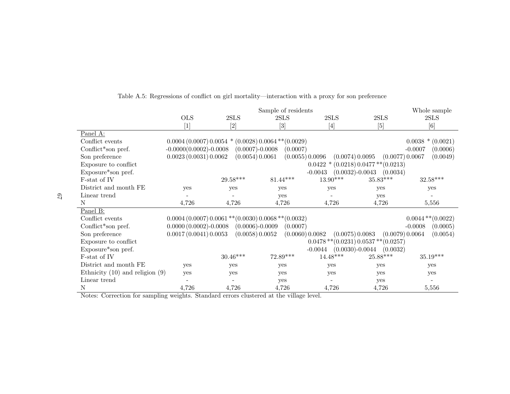|                                     | Sample of residents      |                                                                                                                                                                                                                                                                                                                                                                                                                                                                                         |                                                       |                 |                                               | Whole sample           |
|-------------------------------------|--------------------------|-----------------------------------------------------------------------------------------------------------------------------------------------------------------------------------------------------------------------------------------------------------------------------------------------------------------------------------------------------------------------------------------------------------------------------------------------------------------------------------------|-------------------------------------------------------|-----------------|-----------------------------------------------|------------------------|
|                                     | <b>OLS</b>               | 2SLS                                                                                                                                                                                                                                                                                                                                                                                                                                                                                    | 2SLS                                                  | 2SLS            | 2SLS                                          | 2SLS                   |
|                                     | $[1]$                    | $[2] % \includegraphics[width=0.9\columnwidth]{figures/fig_0a.pdf} \caption{The graph $\mathcal{N}_a$ is a function of the parameter $\mathcal{N}_a$ for the $a=1$ and $b=1$ and $b=1$ for the $a=1$ and $b=1$ for the $a=1$ and $b=1$ for the $a=1$ and $b=1$ for the $a=1$ and $b=1$ for the $a=1$ for the $a=1$ and $b=1$ for the $a=1$ for the $a=1$ for the $a=1$ for the $a=1$ for the $a=1$ for the $a=1$ for the $a=1$ for the $a=1$ for the $a=1$ for the $a=1$ for the $a=1$$ | [3]                                                   | $[4]$           | $[5]$                                         | $[6]$                  |
| Panel A:                            |                          |                                                                                                                                                                                                                                                                                                                                                                                                                                                                                         |                                                       |                 |                                               |                        |
| Conflict events                     |                          |                                                                                                                                                                                                                                                                                                                                                                                                                                                                                         | $0.0004(0.0007)0.0054*(0.0028)0.0064**$ (0.0029)      |                 |                                               | $0.0038 * (0.0021)$    |
| Conflict*son pref.                  | $-0.0000(0.0002)-0.0008$ | $(0.0007) - 0.0008$                                                                                                                                                                                                                                                                                                                                                                                                                                                                     | (0.0007)                                              |                 |                                               | $-0.0007$<br>(0.0006)  |
| Son preference                      | 0.0023(0.0031)0.0062     | (0.0054) 0.0061                                                                                                                                                                                                                                                                                                                                                                                                                                                                         | (0.0055) 0.0096                                       | (0.0074) 0.0095 | (0.0077) 0.0067                               | (0.0049)               |
| Exposure to conflict                |                          |                                                                                                                                                                                                                                                                                                                                                                                                                                                                                         |                                                       |                 | $0.0422 * (0.0218) 0.0477 ** (0.0213)$        |                        |
| Exposure*son pref.                  |                          |                                                                                                                                                                                                                                                                                                                                                                                                                                                                                         |                                                       | $-0.0043$       | $(0.0032) - 0.0043$<br>(0.0034)               |                        |
| F-stat of IV                        |                          | $29.58***$                                                                                                                                                                                                                                                                                                                                                                                                                                                                              | $81.44***$                                            | $13.90***$      | $35.83^{\ast\ast\ast}$                        | $32.58***$             |
| District and month FE               | ves                      | yes                                                                                                                                                                                                                                                                                                                                                                                                                                                                                     | yes                                                   | yes             | yes                                           | yes                    |
| Linear trend                        |                          |                                                                                                                                                                                                                                                                                                                                                                                                                                                                                         | yes                                                   |                 | yes                                           |                        |
| N                                   | 4,726                    | 4,726                                                                                                                                                                                                                                                                                                                                                                                                                                                                                   | 4,726                                                 | 4,726           | 4,726                                         | 5,556                  |
| Panel B:                            |                          |                                                                                                                                                                                                                                                                                                                                                                                                                                                                                         |                                                       |                 |                                               |                        |
| Conflict events                     |                          |                                                                                                                                                                                                                                                                                                                                                                                                                                                                                         | $0.0004(0.0007)0.0061**$ (0.0030) $0.0068**$ (0.0032) |                 |                                               | $0.0044$ ** $(0.0022)$ |
| Conflict*son pref.                  | $0.0000(0.0002)$ -0.0008 | $(0.0006) - 0.0009$                                                                                                                                                                                                                                                                                                                                                                                                                                                                     | (0.0007)                                              |                 |                                               | $-0.0008$<br>(0.0005)  |
| Son preference                      | 0.0017(0.0041)0.0053     | (0.0058) 0.0052                                                                                                                                                                                                                                                                                                                                                                                                                                                                         | (0.0060) 0.0082                                       |                 | (0.0079) 0.0064<br>(0.0075) 0.0083            | (0.0054)               |
| Exposure to conflict                |                          |                                                                                                                                                                                                                                                                                                                                                                                                                                                                                         |                                                       |                 | $0.0478$ ** $(0.0231)$ $0.0537$ ** $(0.0257)$ |                        |
| Exposure*son pref.                  |                          |                                                                                                                                                                                                                                                                                                                                                                                                                                                                                         |                                                       | $-0.0044$       | $(0.0030)$ -0.0044<br>(0.0032)                |                        |
| F-stat of IV                        |                          | $30.46***$                                                                                                                                                                                                                                                                                                                                                                                                                                                                              | $72.89***$                                            | $14.48^{***}\,$ | $25.88***$                                    | $35.19^{\ast\ast\ast}$ |
| District and month FE               | yes                      | yes                                                                                                                                                                                                                                                                                                                                                                                                                                                                                     | yes                                                   | yes             | yes                                           | yes                    |
| Ethnicity $(10)$ and religion $(9)$ | <b>ves</b>               | yes                                                                                                                                                                                                                                                                                                                                                                                                                                                                                     | yes                                                   | yes             | yes                                           | yes                    |
| Linear trend                        |                          |                                                                                                                                                                                                                                                                                                                                                                                                                                                                                         | yes                                                   |                 | yes                                           |                        |
| Ν                                   | 4,726                    | 4,726                                                                                                                                                                                                                                                                                                                                                                                                                                                                                   | 4,726                                                 | 4,726           | 4,726                                         | 5,556                  |

## Table A.5: Regressions of conflict on girl mortality—interaction with <sup>a</sup> proxy for son preference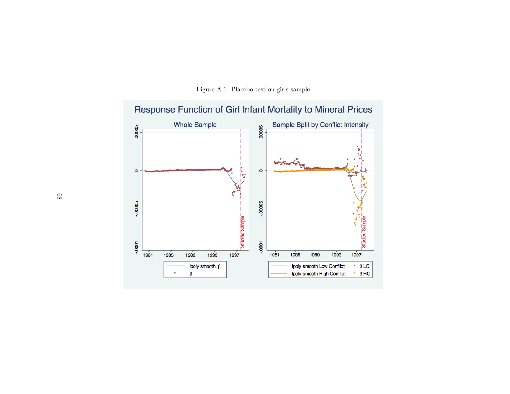

Figure A.1: Placebo test on girls sample